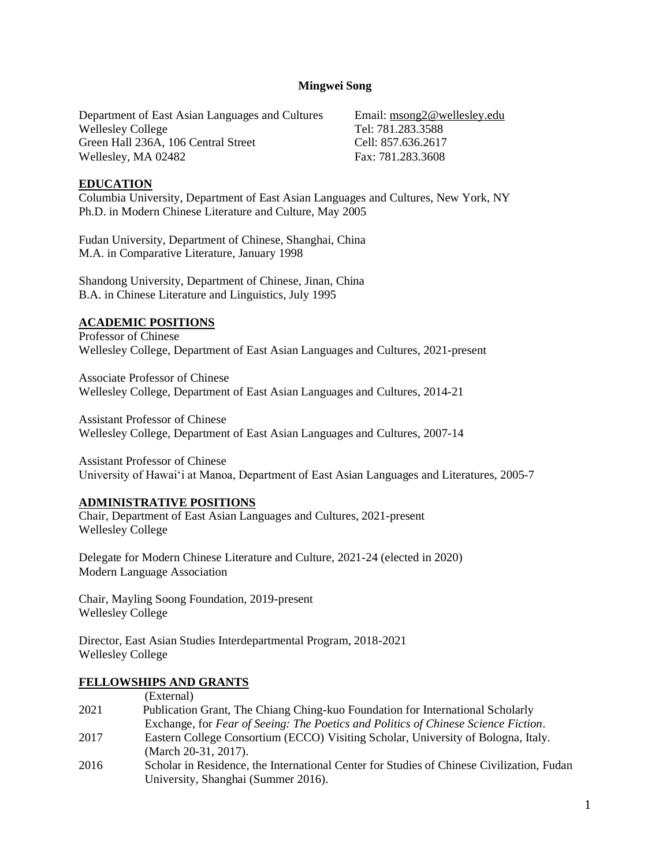#### **Mingwei Song**

Department of East Asian Languages and Cultures Wellesley College Green Hall 236A, 106 Central Street Wellesley, MA 02482

Email: [msong2@wellesley.edu](mailto:msong2@wellesley.edu) Tel: 781.283.3588 Cell: 857.636.2617 Fax: 781.283.3608

#### **EDUCATION**

Columbia University, Department of East Asian Languages and Cultures, New York, NY Ph.D. in Modern Chinese Literature and Culture, May 2005

Fudan University, Department of Chinese, Shanghai, China M.A. in Comparative Literature, January 1998

Shandong University, Department of Chinese, Jinan, China B.A. in Chinese Literature and Linguistics, July 1995

#### **ACADEMIC POSITIONS**

Professor of Chinese Wellesley College, Department of East Asian Languages and Cultures, 2021-present

Associate Professor of Chinese Wellesley College, Department of East Asian Languages and Cultures, 2014-21

Assistant Professor of Chinese Wellesley College, Department of East Asian Languages and Cultures, 2007-14

Assistant Professor of Chinese University of Hawai'i at Manoa, Department of East Asian Languages and Literatures, 2005-7

#### **ADMINISTRATIVE POSITIONS**

Chair, Department of East Asian Languages and Cultures, 2021-present Wellesley College

Delegate for Modern Chinese Literature and Culture, 2021-24 (elected in 2020) Modern Language Association

Chair, Mayling Soong Foundation, 2019-present Wellesley College

Director, East Asian Studies Interdepartmental Program, 2018-2021 Wellesley College

#### **FELLOWSHIPS AND GRANTS**

|      | (External)                                                                                |
|------|-------------------------------------------------------------------------------------------|
| 2021 | Publication Grant, The Chiang Ching-kuo Foundation for International Scholarly            |
|      | Exchange, for Fear of Seeing: The Poetics and Politics of Chinese Science Fiction.        |
| 2017 | Eastern College Consortium (ECCO) Visiting Scholar, University of Bologna, Italy.         |
|      | (March 20-31, 2017).                                                                      |
| 2016 | Scholar in Residence, the International Center for Studies of Chinese Civilization, Fudan |
|      | University, Shanghai (Summer 2016).                                                       |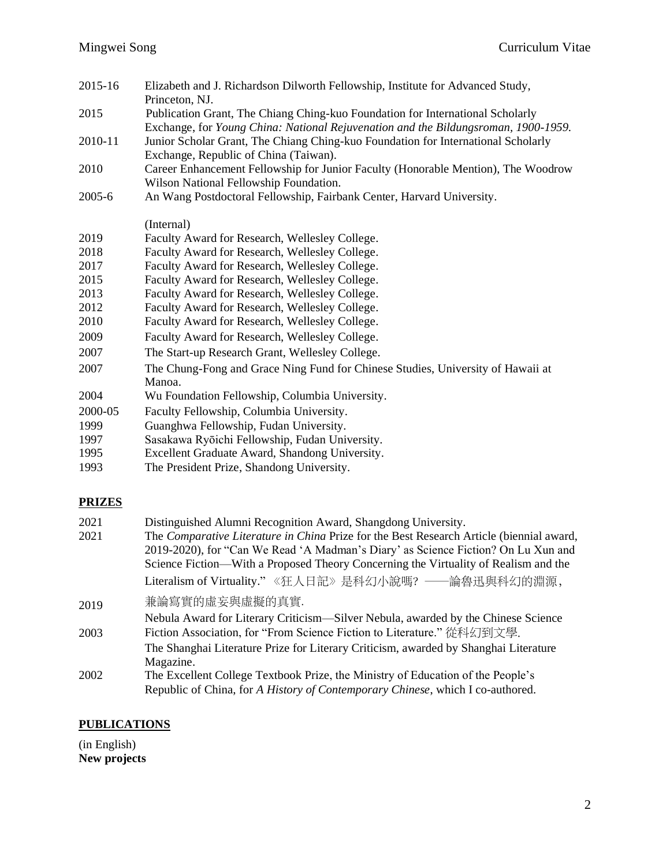| 2015-16 | Elizabeth and J. Richardson Dilworth Fellowship, Institute for Advanced Study,                                                                                       |
|---------|----------------------------------------------------------------------------------------------------------------------------------------------------------------------|
|         | Princeton, NJ.                                                                                                                                                       |
| 2015    | Publication Grant, The Chiang Ching-kuo Foundation for International Scholarly<br>Exchange, for Young China: National Rejuvenation and the Bildungsroman, 1900-1959. |
| 2010-11 | Junior Scholar Grant, The Chiang Ching-kuo Foundation for International Scholarly<br>Exchange, Republic of China (Taiwan).                                           |
| 2010    | Career Enhancement Fellowship for Junior Faculty (Honorable Mention), The Woodrow                                                                                    |
|         | Wilson National Fellowship Foundation.                                                                                                                               |
| 2005-6  | An Wang Postdoctoral Fellowship, Fairbank Center, Harvard University.                                                                                                |
|         | (Internal)                                                                                                                                                           |
| 2019    | Faculty Award for Research, Wellesley College.                                                                                                                       |
| 2018    | Faculty Award for Research, Wellesley College.                                                                                                                       |
| 2017    | Faculty Award for Research, Wellesley College.                                                                                                                       |
| 2015    | Faculty Award for Research, Wellesley College.                                                                                                                       |
| 2013    | Faculty Award for Research, Wellesley College.                                                                                                                       |
| 2012    | Faculty Award for Research, Wellesley College.                                                                                                                       |
| 2010    | Faculty Award for Research, Wellesley College.                                                                                                                       |
| 2009    | Faculty Award for Research, Wellesley College.                                                                                                                       |
| 2007    | The Start-up Research Grant, Wellesley College.                                                                                                                      |
| 2007    | The Chung-Fong and Grace Ning Fund for Chinese Studies, University of Hawaii at<br>Manoa.                                                                            |
| 2004    | Wu Foundation Fellowship, Columbia University.                                                                                                                       |
| 2000-05 | Faculty Fellowship, Columbia University.                                                                                                                             |
| 1999    | Guanghwa Fellowship, Fudan University.                                                                                                                               |
| 1997    | Sasakawa Ryōichi Fellowship, Fudan University.                                                                                                                       |
| 1995    | Excellent Graduate Award, Shandong University.                                                                                                                       |
|         |                                                                                                                                                                      |

1993 The President Prize, Shandong University.

# **PRIZES**

| 2021 | Distinguished Alumni Recognition Award, Shangdong University.                            |
|------|------------------------------------------------------------------------------------------|
| 2021 | The Comparative Literature in China Prize for the Best Research Article (biennial award, |
|      | 2019-2020), for "Can We Read 'A Madman's Diary' as Science Fiction? On Lu Xun and        |
|      | Science Fiction—With a Proposed Theory Concerning the Virtuality of Realism and the      |
|      | Literalism of Virtuality."《狂人日記》是科幻小說嗎? ——論魯迅與科幻的淵源,                                     |
| 2019 | 兼論寫實的虛妄與虛擬的真實.                                                                           |
|      | Nebula Award for Literary Criticism—Silver Nebula, awarded by the Chinese Science        |
| 2003 | Fiction Association, for "From Science Fiction to Literature." 從科幻到文學.                   |
|      | The Shanghai Literature Prize for Literary Criticism, awarded by Shanghai Literature     |
|      | Magazine.                                                                                |
| 2002 | The Excellent College Textbook Prize, the Ministry of Education of the People's          |
|      | Republic of China, for A History of Contemporary Chinese, which I co-authored.           |

# **PUBLICATIONS**

(in English) **New projects**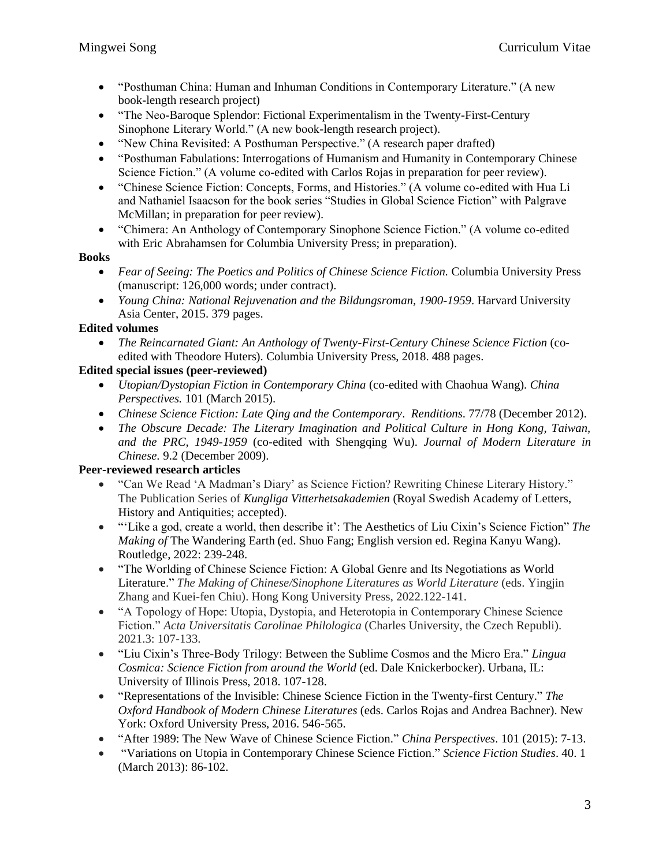- "Posthuman China: Human and Inhuman Conditions in Contemporary Literature." (A new book-length research project)
- "The Neo-Baroque Splendor: Fictional Experimentalism in the Twenty-First-Century Sinophone Literary World." (A new book-length research project).
- "New China Revisited: A Posthuman Perspective." (A research paper drafted)
- "Posthuman Fabulations: Interrogations of Humanism and Humanity in Contemporary Chinese Science Fiction." (A volume co-edited with Carlos Rojas in preparation for peer review).
- "Chinese Science Fiction: Concepts, Forms, and Histories." (A volume co-edited with Hua Li and Nathaniel Isaacson for the book series "Studies in Global Science Fiction" with Palgrave McMillan; in preparation for peer review).
- "Chimera: An Anthology of Contemporary Sinophone Science Fiction." (A volume co-edited with Eric Abrahamsen for Columbia University Press; in preparation).

### **Books**

- *Fear of Seeing: The Poetics and Politics of Chinese Science Fiction.* Columbia University Press (manuscript: 126,000 words; under contract).
- *Young China: National Rejuvenation and the Bildungsroman, 1900-1959*. Harvard University Asia Center, 2015. 379 pages.

### **Edited volumes**

• *The Reincarnated Giant: An Anthology of Twenty-First-Century Chinese Science Fiction* (coedited with Theodore Huters). Columbia University Press, 2018. 488 pages.

### **Edited special issues (peer-reviewed)**

- *Utopian/Dystopian Fiction in Contemporary China* (co-edited with Chaohua Wang)*. China Perspectives.* 101 (March 2015).
- *Chinese Science Fiction: Late Qing and the Contemporary*. *Renditions*. 77/78 (December 2012).
- *The Obscure Decade: The Literary Imagination and Political Culture in Hong Kong, Taiwan, and the PRC, 1949-1959* (co-edited with Shengqing Wu). *Journal of Modern Literature in Chinese.* 9.2 (December 2009).

#### **Peer-reviewed research articles**

- "Can We Read 'A Madman's Diary' as Science Fiction? Rewriting Chinese Literary History." The Publication Series of *Kungliga Vitterhetsakademien* (Royal Swedish Academy of Letters, History and Antiquities; accepted).
- "'Like a god, create a world, then describe it': The Aesthetics of Liu Cixin's Science Fiction" *The Making of* The Wandering Earth (ed. Shuo Fang; English version ed. Regina Kanyu Wang). Routledge, 2022: 239-248.
- "The Worlding of Chinese Science Fiction: A Global Genre and Its Negotiations as World Literature." *The Making of Chinese/Sinophone Literatures as World Literature* (eds. Yingjin Zhang and Kuei-fen Chiu). Hong Kong University Press, 2022.122-141.
- "A Topology of Hope: Utopia, Dystopia, and Heterotopia in Contemporary Chinese Science Fiction." *Acta Universitatis Carolinae Philologica* (Charles University, the Czech Republi). 2021.3: 107-133.
- "Liu Cixin's Three-Body Trilogy: Between the Sublime Cosmos and the Micro Era." *Lingua Cosmica: Science Fiction from around the World* (ed. Dale Knickerbocker). Urbana, IL: University of Illinois Press, 2018. 107-128.
- "Representations of the Invisible: Chinese Science Fiction in the Twenty-first Century." *The Oxford Handbook of Modern Chinese Literatures* (eds. Carlos Rojas and Andrea Bachner). New York: Oxford University Press, 2016. 546-565.
- "After 1989: The New Wave of Chinese Science Fiction." *China Perspectives*. 101 (2015): 7-13.
- "Variations on Utopia in Contemporary Chinese Science Fiction." *Science Fiction Studies*. 40. 1 (March 2013): 86-102.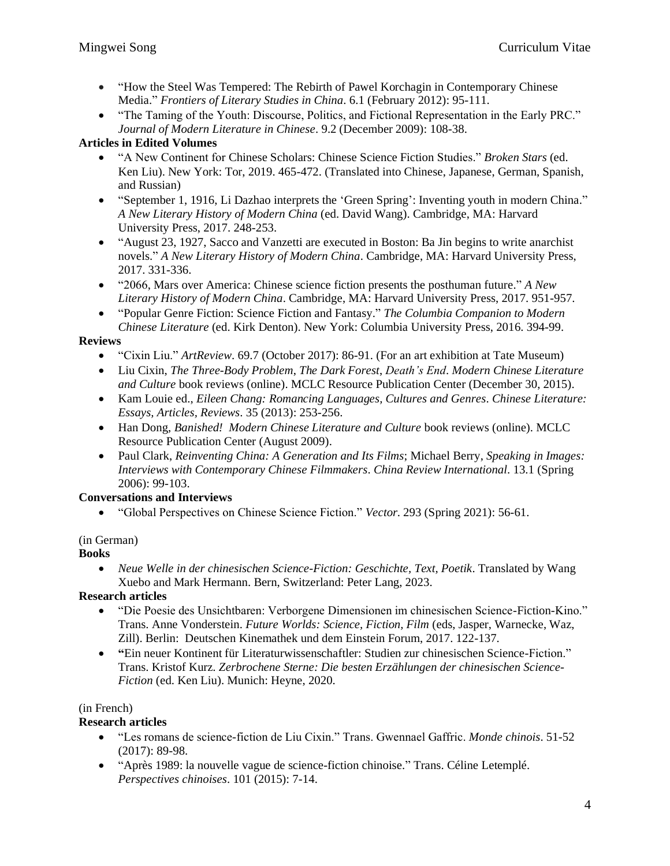- "How the Steel Was Tempered: The Rebirth of Pawel Korchagin in Contemporary Chinese Media." *Frontiers of Literary Studies in China*. 6.1 (February 2012): 95-111.
- "The Taming of the Youth: Discourse, Politics, and Fictional Representation in the Early PRC." *Journal of Modern Literature in Chinese*. 9.2 (December 2009): 108-38.

### **Articles in Edited Volumes**

- "A New Continent for Chinese Scholars: Chinese Science Fiction Studies." *Broken Stars* (ed. Ken Liu). New York: Tor, 2019. 465-472. (Translated into Chinese, Japanese, German, Spanish, and Russian)
- "September 1, 1916, Li Dazhao interprets the 'Green Spring': Inventing youth in modern China." *A New Literary History of Modern China* (ed. David Wang). Cambridge, MA: Harvard University Press, 2017. 248-253.
- "August 23, 1927, Sacco and Vanzetti are executed in Boston: Ba Jin begins to write anarchist novels." *A New Literary History of Modern China*. Cambridge, MA: Harvard University Press, 2017. 331-336.
- "2066, Mars over America: Chinese science fiction presents the posthuman future." *A New Literary History of Modern China*. Cambridge, MA: Harvard University Press, 2017. 951-957.
- "Popular Genre Fiction: Science Fiction and Fantasy." *The Columbia Companion to Modern Chinese Literature* (ed. Kirk Denton). New York: Columbia University Press, 2016. 394-99.

### **Reviews**

- "Cixin Liu." *ArtReview*. 69.7 (October 2017): 86-91. (For an art exhibition at Tate Museum)
- Liu Cixin, *The Three-Body Problem*, *The Dark Forest*, *Death's End*. *Modern Chinese Literature and Culture* book reviews (online). MCLC Resource Publication Center (December 30, 2015).
- Kam Louie ed., *Eileen Chang: Romancing Languages, Cultures and Genres*. *Chinese Literature: Essays, Articles, Reviews*. 35 (2013): 253-256.
- Han Dong, *Banished! Modern Chinese Literature and Culture* book reviews (online). MCLC Resource Publication Center (August 2009).
- Paul Clark, *Reinventing China: A Generation and Its Films*; Michael Berry, *Speaking in Images: Interviews with Contemporary Chinese Filmmakers*. *China Review International*. 13.1 (Spring 2006): 99-103.

### **Conversations and Interviews**

• "Global Perspectives on Chinese Science Fiction." *Vector*. 293 (Spring 2021): 56-61.

### (in German)

**Books**

• *Neue Welle in der chinesischen Science-Fiction: Geschichte, Text, Poetik*. Translated by Wang Xuebo and Mark Hermann. Bern, Switzerland: Peter Lang, 2023.

### **Research articles**

- "Die Poesie des Unsichtbaren: Verborgene Dimensionen im chinesischen Science-Fiction-Kino." Trans. Anne Vonderstein. *Future Worlds: Science, Fiction, Film* (eds, Jasper, Warnecke, Waz, Zill). Berlin: Deutschen Kinemathek und dem Einstein Forum, 2017. 122-137.
- **"**Ein neuer Kontinent für Literaturwissenschaftler: Studien zur chinesischen Science-Fiction." Trans. Kristof Kurz. *Zerbrochene Sterne: Die besten Erzählungen der chinesischen Science-Fiction* (ed. Ken Liu). Munich: Heyne, 2020.

### (in French)

### **Research articles**

- "Les romans de science-fiction de Liu Cixin." Trans. Gwennael Gaffric. *Monde chinois*. 51-52 (2017): 89-98.
- "Après 1989: la nouvelle vague de science-fiction chinoise." Trans. Céline Letemplé. *Perspectives chinoises*. 101 (2015): 7-14.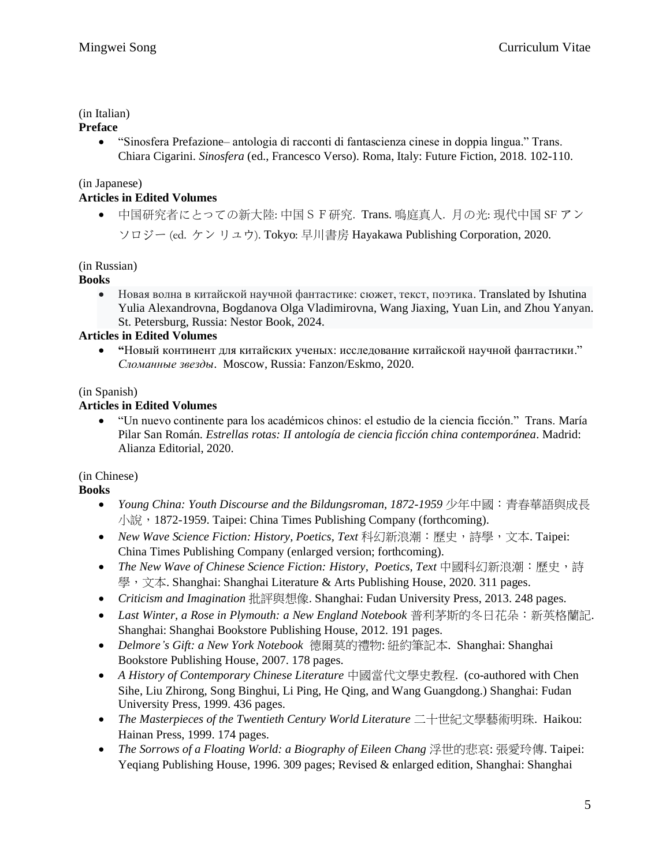## (in Italian)

### **Preface**

• "Sinosfera Prefazione– antologia di racconti di fantascienza cinese in doppia lingua." Trans. Chiara Cigarini. *Sinosfera* (ed., Francesco Verso). Roma, Italy: Future Fiction, 2018. 102-110.

## (in Japanese)

### **Articles in Edited Volumes**

• 中国研究者にとっての新大陸: 中国SF研究. Trans. 鳴庭真人. 月の光: 現代中国 SF アン ソロジー (ed. ケン [リュウ](http://www.isfdb.org/cgi-bin/ea.cgi?309490)). Tokyo: [早川書房](http://www.isfdb.org/cgi-bin/publisher.cgi?1722) Hayakawa Publishing Corporation, 2020.

## (in Russian)

### **Books**

• Новая волна в китайской научной фантастике: сюжет, текст, поэтика. Translated by Ishutina Yulia Alexandrovna, Bogdanova Olga Vladimirovna, Wang Jiaxing, Yuan Lin, and Zhou Yanyan. St. Petersburg, Russia: Nestor Book, 2024.

## **Articles in Edited Volumes**

• **"**Новый континент для китайских ученых: исследование китайской научной фантастики." *Сломанные звезды*. Moscow, Russia: Fanzon/Eskmo, 2020.

## (in Spanish)

# **Articles in Edited Volumes**

• "Un nuevo continente para los académicos chinos: el estudio de la ciencia ficción." Trans. María Pilar San Román*. Estrellas rotas: II antología de ciencia ficción china contemporánea*. Madrid: Alianza Editorial, 2020.

# (in Chinese)

# **Books**

- *Young China: Youth Discourse and the Bildungsroman, 1872-1959* 少年中國:青春華語與成長 小說, 1872-1959. Taipei: China Times Publishing Company (forthcoming).
- *New Wave Science Fiction: History, Poetics, Text* 科幻新浪潮:歷史,詩學,文本. Taipei: China Times Publishing Company (enlarged version; forthcoming).
- *The New Wave of Chinese Science Fiction: History, Poetics, Text* 中國科幻新浪潮:歷史,詩 學,文本. Shanghai: Shanghai Literature & Arts Publishing House, 2020. 311 pages.
- *Criticism and Imagination* 批評與想像. Shanghai: Fudan University Press, 2013. 248 pages.
- *Last Winter, a Rose in Plymouth: a New England Notebook* 普利茅斯的冬日花朵:新英格蘭記. Shanghai: Shanghai Bookstore Publishing House, 2012. 191 pages.
- *Delmore's Gift: a New York Notebook* 德爾莫的禮物: 紐約筆記本. Shanghai: Shanghai Bookstore Publishing House, 2007. 178 pages.
- *A History of Contemporary Chinese Literature* 中國當代文學史教程. (co-authored with Chen Sihe, Liu Zhirong, Song Binghui, Li Ping, He Qing, and Wang Guangdong.) Shanghai: Fudan University Press, 1999. 436 pages.
- *The Masterpieces of the Twentieth Century World Literature* 二十世紀文學藝術明珠. Haikou: Hainan Press, 1999. 174 pages.
- *The Sorrows of a Floating World: a Biography of Eileen Chang* 浮世的悲哀: 張愛玲傳. Taipei: Yeqiang Publishing House, 1996. 309 pages; Revised & enlarged edition, Shanghai: Shanghai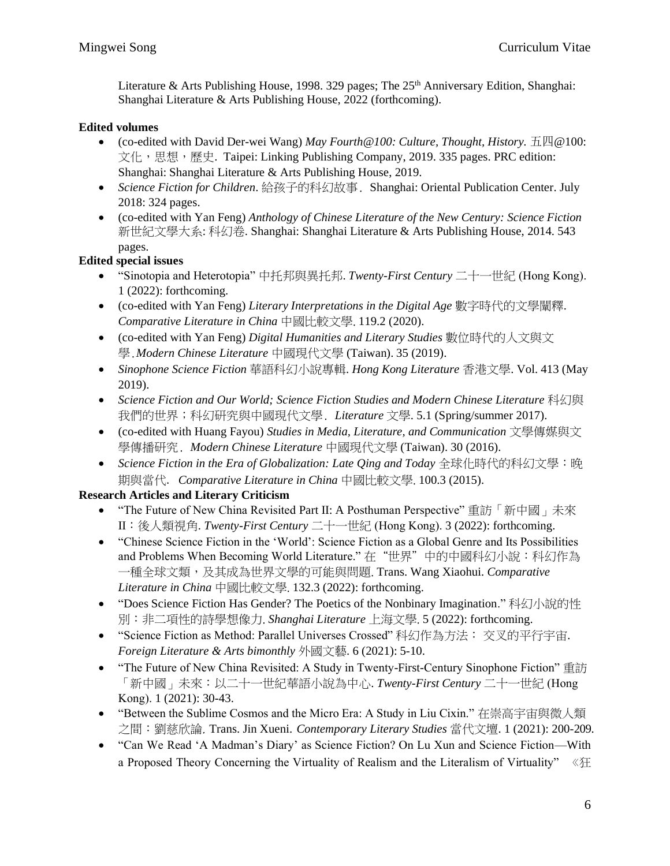Literature & Arts Publishing House, 1998. 329 pages; The 25<sup>th</sup> Anniversary Edition, Shanghai: Shanghai Literature & Arts Publishing House, 2022 (forthcoming).

### **Edited volumes**

- (co-edited with David Der-wei Wang)  $May$  Fourth@100: Culture, Thought, History.  $\pm \mathbb{Z} \otimes 100$ : 文化,思想,歷史. Taipei: Linking Publishing Company, 2019. 335 pages. PRC edition: Shanghai: Shanghai Literature & Arts Publishing House, 2019.
- *Science Fiction for Children*. 給孩子的科幻故事. Shanghai: Oriental Publication Center. July 2018: 324 pages.
- (co-edited with Yan Feng) *Anthology of Chinese Literature of the New Century: Science Fiction* 新世紀文學大系: 科幻卷. Shanghai: Shanghai Literature & Arts Publishing House, 2014. 543 pages.

# **Edited special issues**

- "Sinotopia and Heterotopia" 中托邦與異托邦. *Twenty-First Century* 二十一世紀 (Hong Kong). 1 (2022): forthcoming.
- (co-edited with Yan Feng) *Literary Interpretations in the Digital Age* 數字時代的文學闡釋. *Comparative Literature in China* 中國比較文學. 119.2 (2020).
- (co-edited with Yan Feng) *Digital Humanities and Literary Studies* 數位時代的人文與文 學.*Modern Chinese Literature* 中國現代文學 (Taiwan). 35 (2019).
- *Sinophone Science Fiction* 華語科幻小說專輯. *Hong Kong Literature* 香港文學. Vol. 413 (May 2019).
- *Science Fiction and Our World; Science Fiction Studies and Modern Chinese Literature* 科幻與 我們的世界;科幻研究與中國現代文學. *Literature* 文學. 5.1 (Spring/summer 2017).
- (co-edited with Huang Fayou) *Studies in Media, Literature, and Communication* 文學傳媒與文 學傳播研究. *Modern Chinese Literature* 中國現代文學 (Taiwan). 30 (2016).
- *Science Fiction in the Era of Globalization: Late Qing and Today* 全球化時代的科幻文學:晚 期與當代. *Comparative Literature in China* 中國比較文學. 100.3 (2015).

# **Research Articles and Literary Criticism**

- "The Future of New China Revisited Part II: A Posthuman Perspective" 重訪「新中國」未來 II:後人類視角. *Twenty-First Century* 二十一世紀 (Hong Kong). 3 (2022): forthcoming.
- "Chinese Science Fiction in the 'World': Science Fiction as a Global Genre and Its Possibilities and Problems When Becoming World Literature." 在"世界"中的中國科幻小說:科幻作為 一種全球文類,及其成為世界文學的可能與問題. Trans. Wang Xiaohui. *Comparative Literature in China* 中國比較文學. 132.3 (2022): forthcoming.
- "Does Science Fiction Has Gender? The Poetics of the Nonbinary Imagination." 科幻小說的性 別:非二項性的詩學想像力. *Shanghai Literature* 上海文學. 5 (2022): forthcoming.
- "Science Fiction as Method: Parallel Universes Crossed" 科幻作為方法: 交叉的平行宇宙. *Foreign Literature & Arts bimonthly* 外國文藝. 6 (2021): 5-10.
- "The Future of New China Revisited: A Study in Twenty-First-Century Sinophone Fiction" 重訪 「新中國」未來:以二十一世紀華語小說為中心. *Twenty-First Century* 二十一世紀 (Hong Kong). 1 (2021): 30-43.
- "Between the Sublime Cosmos and the Micro Era: A Study in Liu Cixin." 在崇高宇宙與微人類 之間:劉慈欣論. Trans. Jin Xueni. *Contemporary Literary Studies* 當代文壇. 1 (2021): 200-209.
- "Can We Read 'A Madman's Diary' as Science Fiction? On Lu Xun and Science Fiction—With a Proposed Theory Concerning the Virtuality of Realism and the Literalism of Virtuality" 《狂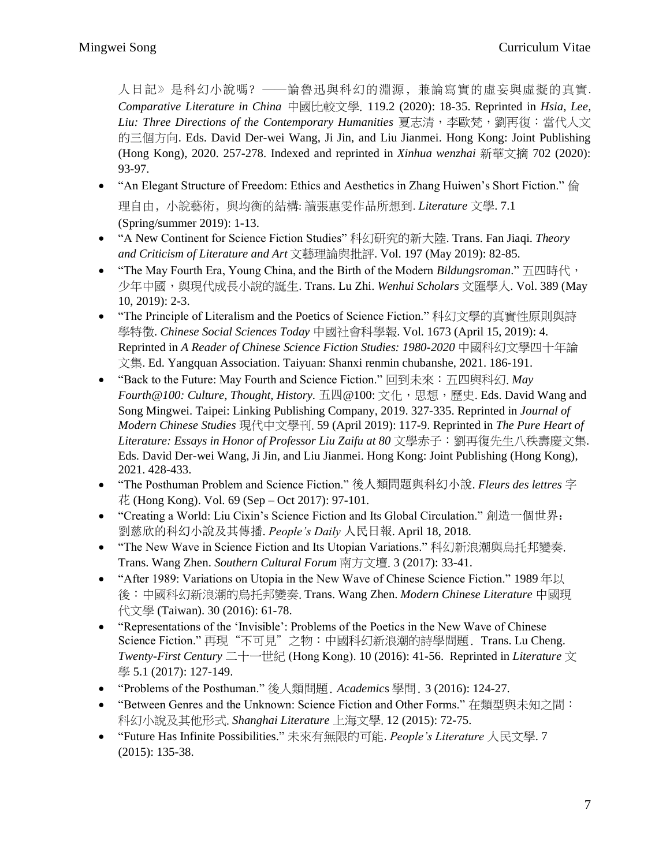人日記》是科幻小說嗎?——論魯迅與科幻的淵源,兼論寫實的虛妄與虛擬的真實. *Comparative Literature in China* 中國比較文學. 119.2 (2020): 18-35. Reprinted in *Hsia, Lee, Liu: Three Directions of the Contemporary Humanities* 夏志清,李歐梵,劉再復:當代人文 的三個方向. Eds. David Der-wei Wang, Ji Jin, and Liu Jianmei. Hong Kong: Joint Publishing (Hong Kong), 2020. 257-278. Indexed and reprinted in *Xinhua wenzhai* 新華文摘 702 (2020): 93-97.

- "An Elegant Structure of Freedom: Ethics and Aesthetics in Zhang Huiwen's Short Fiction." 倫 理自由, 小說藝術, 與均衡的結構: 讀張惠雯作品所想到. Literature 文學. 7.1 (Spring/summer 2019): 1-13.
- "A New Continent for Science Fiction Studies" 科幻研究的新大陸. Trans. Fan Jiaqi. *Theory and Criticism of Literature and Art* 文藝理論與批評. Vol. 197 (May 2019): 82-85.
- "The May Fourth Era, Young China, and the Birth of the Modern *Bildungsroman*." 五四時代, 少年中國,與現代成長小說的誕生. Trans. Lu Zhi. Wenhui Scholars 文匯學人. Vol. 389 (May 10, 2019): 2-3.
- "The Principle of Literalism and the Poetics of Science Fiction." 科幻文學的真實性原則與詩 學特徵. *Chinese Social Sciences Today* 中國社會科學報. Vol. 1673 (April 15, 2019): 4. Reprinted in *A Reader of Chinese Science Fiction Studies: 1980-2020* 中國科幻文學四十年論 文集. Ed. Yangquan Association. Taiyuan: Shanxi renmin chubanshe, 2021. 186-191.
- "Back to the Future: May Fourth and Science Fiction." 回到未來:五四與科幻. *May Fourth@100: Culture, Thought, History.* 五四@100: 文化, 思想, 歷史. Eds. David Wang and Song Mingwei. Taipei: Linking Publishing Company, 2019. 327-335. Reprinted in *Journal of Modern Chinese Studies* 現代中文學刊. 59 (April 2019): 117-9. Reprinted in *The Pure Heart of Literature: Essays in Honor of Professor Liu Zaifu at 80* 文學赤子:劉再復先生八秩壽慶文集. Eds. David Der-wei Wang, Ji Jin, and Liu Jianmei. Hong Kong: Joint Publishing (Hong Kong), 2021. 428-433.
- "The Posthuman Problem and Science Fiction." 後人類問題與科幻小說. *Fleurs des lettres* 字 花 (Hong Kong). Vol. 69 (Sep – Oct 2017): 97-101.
- "Creating a World: Liu Cixin's Science Fiction and Its Global Circulation." 創造一個世界: 劉慈欣的科幻小說及其傳播. *People's Daily* 人民日報. April 18, 2018.
- "The New Wave in Science Fiction and Its Utopian Variations." 科幻新浪潮與烏托邦變奏. Trans. Wang Zhen. *Southern Cultural Forum* 南方文壇. 3 (2017): 33-41.
- "After 1989: Variations on Utopia in the New Wave of Chinese Science Fiction." 1989 年以 後:中國科幻新浪潮的烏托邦變奏. Trans. Wang Zhen. *Modern Chinese Literature* 中國現 代文學 (Taiwan). 30 (2016): 61-78.
- "Representations of the 'Invisible': Problems of the Poetics in the New Wave of Chinese Science Fiction." 再現"不可見"之物:中國科幻新浪潮的詩學問題. Trans. Lu Cheng. *Twenty-First Century* 二十一世紀 (Hong Kong). 10 (2016): 41-56. Reprinted in *Literature* 文 學 5.1 (2017): 127-149.
- "Problems of the Posthuman." 後人類問題. *Academic*s 學問. 3 (2016): 124-27.
- "Between Genres and the Unknown: Science Fiction and Other Forms." 在類型與未知之間: 科幻小說及其他形式. *Shanghai Literature* 上海文學. 12 (2015): 72-75.
- "Future Has Infinite Possibilities." 未來有無限的可能. *People's Literature* 人民文學. 7 (2015): 135-38.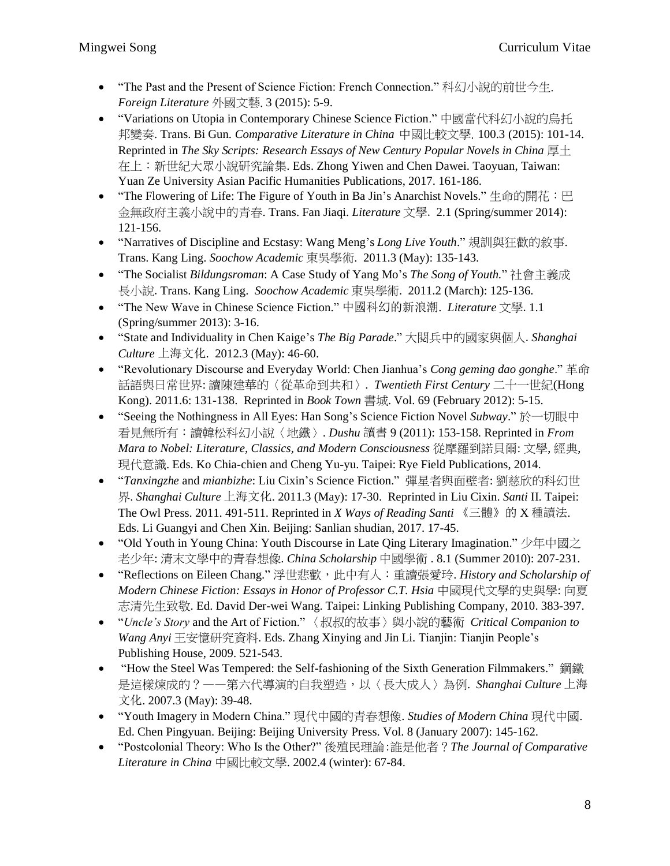- "The Past and the Present of Science Fiction: French Connection."科幻小說的前世今生. *Foreign Literature* 外國文藝. 3 (2015): 5-9.
- "Variations on Utopia in Contemporary Chinese Science Fiction." 中國當代科幻小說的烏托 邦變奏. Trans. Bi Gun. *Comparative Literature in China* 中國比較文學. 100.3 (2015): 101-14. Reprinted in *The Sky Scripts: Research Essays of New Century Popular Novels in China* 厚土 在上:新世紀大眾小說研究論集. Eds. Zhong Yiwen and Chen Dawei. Taoyuan, Taiwan: Yuan Ze University Asian Pacific Humanities Publications, 2017. 161-186.
- "The Flowering of Life: The Figure of Youth in Ba Jin's Anarchist Novels." 生命的開花: 巴 金無政府主義小說中的青春. Trans. Fan Jiaqi. *Literature* 文學. 2.1 (Spring/summer 2014): 121-156.
- "Narratives of Discipline and Ecstasy: Wang Meng's *Long Live Youth*." 規訓與狂歡的敘事. Trans. Kang Ling. *Soochow Academic* 東吳學術. 2011.3 (May): 135-143.
- "The Socialist *Bildungsroman*: A Case Study of Yang Mo's *The Song of Youth.*" 社會主義成 長小說.Trans. Kang Ling. *Soochow Academic* 東吳學術. 2011.2 (March): 125-136.
- "The New Wave in Chinese Science Fiction." 中國科幻的新浪潮. *Literature* 文學.1.1 (Spring/summer 2013): 3-16.
- "State and Individuality in Chen Kaige's *The Big Parade*." 大閱兵中的國家與個人.*Shanghai Culture* 上海文化. 2012.3 (May): 46-60.
- "Revolutionary Discourse and Everyday World: Chen Jianhua's *Cong geming dao gonghe*." 革命 話語與日常世界: 讀陳建華的〈從革命到共和〉. *Twentieth First Century* 二十一世紀(Hong Kong). 2011.6: 131-138. Reprinted in *Book Town* 書城. Vol. 69 (February 2012): 5-15.
- "Seeing the Nothingness in All Eyes: Han Song's Science Fiction Novel *Subway*." 於一切眼中 看見無所有:讀韓松科幻小說〈地鐵〉. *Dushu* 讀書 9 (2011): 153-158. Reprinted in *From Mara to Nobel: Literature, Classics, and Modern Consciousness* 從摩羅到諾貝爾: 文學, 經典, 現代意識. Eds. Ko Chia-chien and Cheng Yu-yu. Taipei: Rye Field Publications, 2014.
- "*Tanxingzhe* and *mianbizhe*: Liu Cixin's Science Fiction." 彈星者與面壁者: 劉慈欣的科幻世 界. *Shanghai Culture* 上海文化. 2011.3 (May): 17-30. Reprinted in Liu Cixin. *Santi* II. Taipei: The Owl Press. 2011. 491-511. Reprinted in *X Ways of Reading Santi* 《三體》的 X 種讀法. Eds. Li Guangyi and Chen Xin. Beijing: Sanlian shudian, 2017. 17-45.
- "Old Youth in Young China: Youth Discourse in Late Qing Literary Imagination." 少年中國之 老少年: 清末文學中的青春想像. *China Scholarship* 中國學術 . 8.1 (Summer 2010): 207-231.
- "Reflections on Eileen Chang." 浮世悲歡,此中有人:重讀張愛玲. *History and Scholarship of Modern Chinese Fiction: Essays in Honor of Professor C.T. Hsia* 中國現代文學的史與學: 向夏 志清先生致敬. Ed. David Der-wei Wang. Taipei: Linking Publishing Company, 2010. 383-397.
- "*Uncle's Story* and the Art of Fiction." 〈叔叔的故事〉與小說的藝術 *Critical Companion to Wang Anyi* 王安憶研究資料. Eds. Zhang Xinying and Jin Li. Tianjin: Tianjin People's Publishing House, 2009. 521-543.
- "How the Steel Was Tempered: the Self-fashioning of the Sixth Generation Filmmakers." 鋼鐵 是這樣煉成的?——第六代導演的自我塑造,以〈長大成人〉為例. *Shanghai Culture* 上海 文化. 2007.3 (May): 39-48.
- "Youth Imagery in Modern China." 現代中國的青春想像. *Studies of Modern China* 現代中國. Ed. Chen Pingyuan. Beijing: Beijing University Press. Vol. 8 (January 2007): 145-162.
- "Postcolonial Theory: Who Is the Other?" 後殖民理論:誰是他者?*The Journal of Comparative Literature in China* 中國比較文學. 2002.4 (winter): 67-84.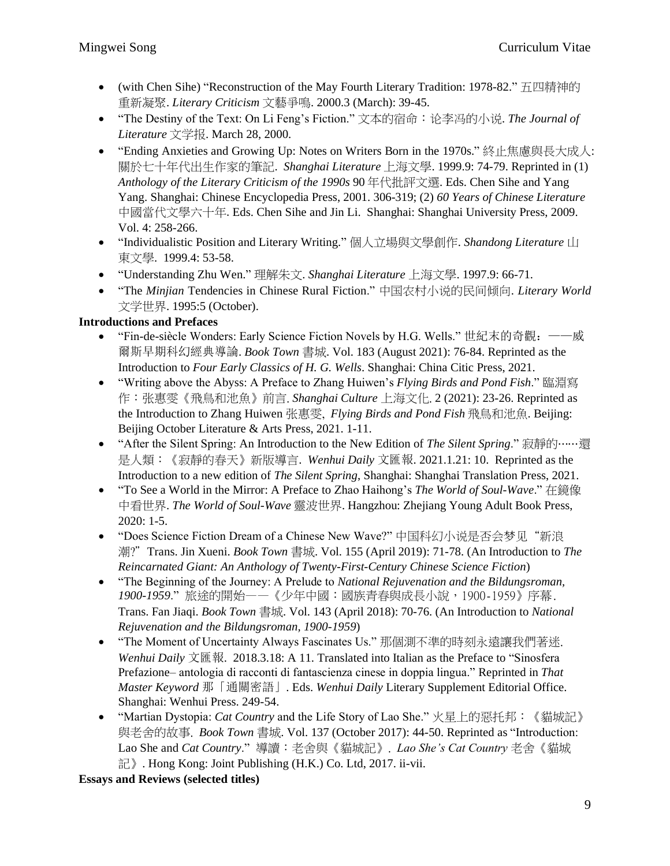- (with Chen Sihe) "Reconstruction of the May Fourth Literary Tradition: 1978-82." 五四精神的 重新凝聚. *Literary Criticism* 文藝爭鳴. 2000.3 (March): 39-45.
- "The Destiny of the Text: On Li Feng's Fiction." 文本的宿命:论李冯的小说. *The Journal of Literature* 文学报. March 28, 2000.
- "Ending Anxieties and Growing Up: Notes on Writers Born in the 1970s." 終止焦慮與長大成人: 關於七十年代出生作家的筆記. *Shanghai Literature* 上海文學. 1999.9: 74-79. Reprinted in (1) *Anthology of the Literary Criticism of the 1990s* 90 年代批評文選. Eds. Chen Sihe and Yang Yang. Shanghai: Chinese Encyclopedia Press, 2001. 306-319; (2) *60 Years of Chinese Literature* 中國當代文學六十年.Eds. Chen Sihe and Jin Li. Shanghai: Shanghai University Press, 2009. Vol. 4: 258-266.
- "Individualistic Position and Literary Writing." 個人立場與文學創作. *Shandong Literature* 山 東文學. 1999.4: 53-58.
- "Understanding Zhu Wen." 理解朱文. *Shanghai Literature* 上海文學. 1997.9: 66-71.
- "The *Minjian* Tendencies in Chinese Rural Fiction." 中国农村小说的民间倾向. *Literary World* 文学世界. 1995:5 (October).

# **Introductions and Prefaces**

- "Fin-de-siècle Wonders: Early Science Fiction Novels by H.G. Wells." 世紀末的奇觀:——威 爾斯早期科幻經典導論. *Book Town* 書城. Vol. 183 (August 2021): 76-84. Reprinted as the Introduction to *Four Early Classics of H. G. Wells*. Shanghai: China Citic Press, 2021.
- "Writing above the Abyss: A Preface to Zhang Huiwen's *Flying Birds and Pond Fish*." 臨淵寫 作:张惠雯《飛鳥和池魚》前言. *Shanghai Culture* 上海文化. 2 (2021): 23-26. Reprinted as the Introduction to Zhang Huiwen 张惠雯, *Flying Birds and Pond Fish* 飛鳥和池魚. Beijing: Beijing October Literature & Arts Press, 2021. 1-11.
- "After the Silent Spring: An Introduction to the New Edition of *The Silent Spring*." 寂靜的⋯⋯還 是人類:《寂靜的春天》新版導言. *Wenhui Daily* 文匯報. 2021.1.21: 10. Reprinted as the Introduction to a new edition of *The Silent Spring*, Shanghai: Shanghai Translation Press, 2021.
- "To See a World in the Mirror: A Preface to Zhao Haihong's *The World of Soul-Wave*." 在鏡像 中看世界. *The World of Soul-Wave* 靈波世界. Hangzhou: Zhejiang Young Adult Book Press, 2020: 1-5.
- "Does Science Fiction Dream of a Chinese New Wave?" 中国科幻小说是否会梦见"新浪 潮?"Trans. Jin Xueni. *Book Town* 書城. Vol. 155 (April 2019): 71-78. (An Introduction to *The Reincarnated Giant: An Anthology of Twenty-First-Century Chinese Science Fiction*)
- "The Beginning of the Journey: A Prelude to *National Rejuvenation and the Bildungsroman, 1900-1959*." 旅途的開始——《少年中國:國族青春與成長小說,1900-1959》序幕. Trans. Fan Jiaqi. *Book Town* 書城. Vol. 143 (April 2018): 70-76. (An Introduction to *National Rejuvenation and the Bildungsroman, 1900-1959*)
- "The Moment of Uncertainty Always Fascinates Us." 那個測不準的時刻永遠讓我們著迷. *Wenhui Daily* 文匯報. 2018.3.18: A 11. Translated into Italian as the Preface to "Sinosfera Prefazione– antologia di racconti di fantascienza cinese in doppia lingua." Reprinted in *That Master Keyword* 那「通關密語」. Eds. *Wenhui Daily* Literary Supplement Editorial Office. Shanghai: Wenhui Press. 249-54.
- "Martian Dystopia: *Cat Country* and the Life Story of Lao She." 火星上的惡托邦:《貓城記》 與老舍的故事. *Book Town* 書城. Vol. 137 (October 2017): 44-50. Reprinted as "Introduction: Lao She and *Cat Country*." 導讀:老舍與《貓城記》. *Lao She's Cat Country* 老舍《貓城 記》. Hong Kong: Joint Publishing (H.K.) Co. Ltd, 2017. ii-vii.

**Essays and Reviews (selected titles)**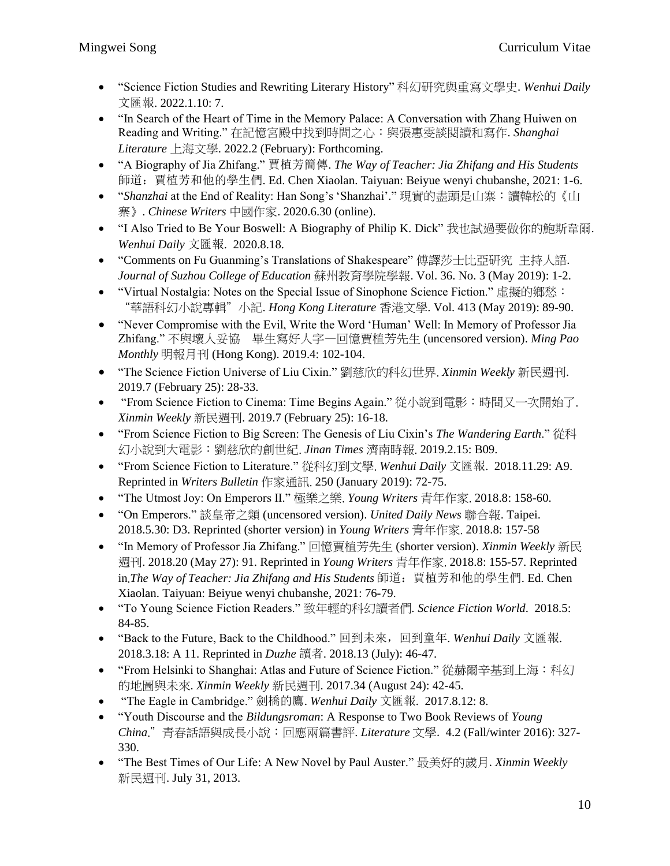- "Science Fiction Studies and Rewriting Literary History" 科幻研究與重寫文學史. *Wenhui Daily* 文匯報. 2022.1.10: 7.
- "In Search of the Heart of Time in the Memory Palace: A Conversation with Zhang Huiwen on Reading and Writing." 在記憶宮殿中找到時間之心:與張惠雯談閱讀和寫作. *Shanghai Literature* 上海文學. 2022.2 (February): Forthcoming.
- "A Biography of Jia Zhifang." 賈植芳簡傳. *The Way of Teacher: Jia Zhifang and His Students* 師道:賈植芳和他的學生們. Ed. Chen Xiaolan. Taiyuan: Beiyue wenyi chubanshe, 2021: 1-6.
- "*Shanzhai* at the End of Reality: Han Song's 'Shanzhai'." 現實的盡頭是山寨:讀韓松的《山 寨》. *Chinese Writers* 中國作家. 2020.6.30 (online).
- "I Also Tried to Be Your Boswell: A Biography of Philip K. Dick" 我也試過要做你的鮑斯韋爾. *Wenhui Daily* 文匯報. 2020.8.18.
- "Comments on Fu Guanming's Translations of Shakespeare" 傅譯莎士比亞研究 主持人語. *Journal of Suzhou College of Education* 蘇州教育學院學報. Vol. 36. No. 3 (May 2019): 1-2.
- "Virtual Nostalgia: Notes on the Special Issue of Sinophone Science Fiction." 虛擬的鄉愁: "華語科幻小說專輯"小記. *Hong Kong Literature* 香港文學. Vol. 413 (May 2019): 89-90.
- "Never Compromise with the Evil, Write the Word 'Human' Well: In Memory of Professor Jia Zhifang." 不與壞人妥協 畢生寫好人字—回憶賈植芳先生 (uncensored version). *Ming Pao Monthly* 明報月刊 (Hong Kong). 2019.4: 102-104.
- "The Science Fiction Universe of Liu Cixin." 劉慈欣的科幻世界. *Xinmin Weekly* 新民週刊. 2019.7 (February 25): 28-33.
- "From Science Fiction to Cinema: Time Begins Again." 從小說到電影:時間又一次開始了. *Xinmin Weekly* 新民週刊. 2019.7 (February 25): 16-18.
- "From Science Fiction to Big Screen: The Genesis of Liu Cixin's *The Wandering Earth*." 從科 幻小說到大電影:劉慈欣的創世紀. *Jinan Times* 濟南時報. 2019.2.15: B09.
- "From Science Fiction to Literature." 從科幻到文學. *Wenhui Daily* 文匯報. 2018.11.29: A9. Reprinted in *Writers Bulletin* 作家通訊. 250 (January 2019): 72-75.
- "The Utmost Joy: On Emperors II." 極樂之樂. *Young Writers* 青年作家. 2018.8: 158-60.
- "On Emperors." 談皇帝之類 (uncensored version). *United Daily News* 聯合報. Taipei. 2018.5.30: D3. Reprinted (shorter version) in *Young Writers* 青年作家. 2018.8: 157-58
- "In Memory of Professor Jia Zhifang." 回憶賈植芳先生 (shorter version). *Xinmin Weekly* 新民 週刊. 2018.20 (May 27): 91. Reprinted in *Young Writers* 青年作家. 2018.8: 155-57. Reprinted in.*The Way of Teacher: Jia Zhifang and His Students* 師道:賈植芳和他的學生們. Ed. Chen Xiaolan. Taiyuan: Beiyue wenyi chubanshe, 2021: 76-79.
- "To Young Science Fiction Readers." 致年輕的科幻讀者們*. Science Fiction World*. 2018.5: 84-85.
- "Back to the Future, Back to the Childhood." 回到未來,回到童年. *Wenhui Daily* 文匯報. 2018.3.18: A 11. Reprinted in *Duzhe* 讀者. 2018.13 (July): 46-47.
- "From Helsinki to Shanghai: Atlas and Future of Science Fiction." 從赫爾辛基到上海:科幻 的地圖與未來. *Xinmin Weekly* 新民週刊. 2017.34 (August 24): 42-45.
- "The Eagle in Cambridge." 劍橋的鷹. *Wenhui Daily* 文匯報. 2017.8.12: 8.
- "Youth Discourse and the *Bildungsroman*: A Response to Two Book Reviews of *Young China*."青春話語與成長小說:回應兩篇書評. *Literature* 文學. 4.2 (Fall/winter 2016): 327- 330.
- "The Best Times of Our Life: A New Novel by Paul Auster." 最美好的歲月.*Xinmin Weekly* 新民週刊. July 31, 2013.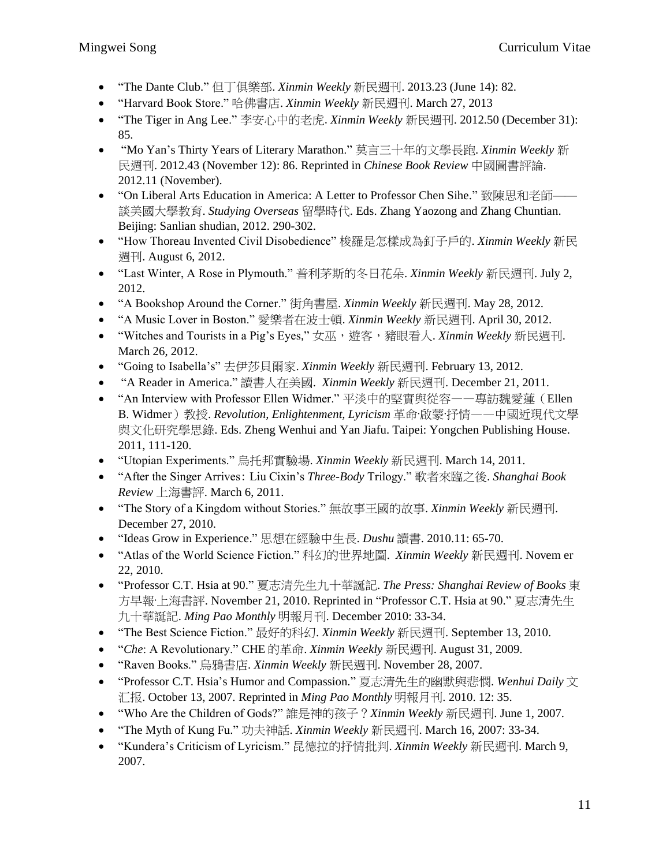- "The Dante Club." 但丁俱樂部. *Xinmin Weekly* 新民週刊. 2013.23 (June 14): 82.
- "Harvard Book Store." 哈佛書店. *Xinmin Weekly* 新民週刊. March 27, 2013
- "The Tiger in Ang Lee." 李安心中的老虎.*Xinmin Weekly* 新民週刊. 2012.50 (December 31): 85.
- "Mo Yan's Thirty Years of Literary Marathon." 莫言三十年的文學長跑. *Xinmin Weekly* 新 民週刊. 2012.43 (November 12): 86. Reprinted in *Chinese Book Review* 中國圖書評論. 2012.11 (November).
- "On Liberal Arts Education in America: A Letter to Professor Chen Sihe." 致陳思和老師—— 談美國大學教育. *Studying Overseas* 留學時代. Eds. Zhang Yaozong and Zhang Chuntian. Beijing: Sanlian shudian, 2012. 290-302.
- "How Thoreau Invented Civil Disobedience" 梭羅是怎樣成為釘子戶的. *Xinmin Weekly* 新民 週刊. August 6, 2012.
- "Last Winter, A Rose in Plymouth." 普利茅斯的冬日花朵. *Xinmin Weekly* 新民週刊. July 2, 2012.
- "A Bookshop Around the Corner." 街角書屋. *Xinmin Weekly* 新民週刊. May 28, 2012.
- "A Music Lover in Boston." 愛樂者在波士頓. *Xinmin Weekly* 新民週刊. April 30, 2012.
- "Witches and Tourists in a Pig's Eyes," 女巫,遊客,豬眼看人. *Xinmin Weekly* 新民週刊. March 26, 2012.
- "Going to Isabella's" 去伊莎貝爾家. *Xinmin Weekly* 新民週刊. February 13, 2012.
- "A Reader in America." 讀書人在美國. *Xinmin Weekly* 新民週刊. December 21, 2011.
- "An Interview with Professor Ellen Widmer." 平淡中的堅實與從容——專訪魏愛蓮(Ellen B. Widmer)教授. *Revolution, Enlightenment, Lyricism* 革命·啟蒙·抒情——中國近現代文學 與文化研究學思錄. Eds. Zheng Wenhui and Yan Jiafu. Taipei: Yongchen Publishing House. 2011, 111-120.
- "Utopian Experiments." 烏托邦實驗場. *Xinmin Weekly* 新民週刊. March 14, 2011.
- "After the Singer Arrives: Liu Cixin's *Three-Body* Trilogy." 歌者來臨之後. *Shanghai Book Review* 上海書評. March 6, 2011.
- "The Story of a Kingdom without Stories." 無故事王國的故事. *Xinmin Weekly* 新民週刊. December 27, 2010.
- "Ideas Grow in Experience." 思想在經驗中生長. *Dushu* 讀書. 2010.11: 65-70.
- "Atlas of the World Science Fiction." 科幻的世界地圖. *Xinmin Weekly* 新民週刊. Novem er 22, 2010.
- "Professor C.T. Hsia at 90." 夏志清先生九十華誕記. *The Press: Shanghai Review of Books* 東 方早報·上海書評. November 21, 2010. Reprinted in "Professor C.T. Hsia at 90." 夏志清先生 九十華誕記. *Ming Pao Monthly* 明報月刊. December 2010: 33-34.
- "The Best Science Fiction." 最好的科幻. *Xinmin Weekly* 新民週刊. September 13, 2010.
- "*Che*: A Revolutionary." CHE 的革命. *Xinmin Weekly* 新民週刊. August 31, 2009.
- "Raven Books." 烏鴉書店. *Xinmin Weekly* 新民週刊. November 28, 2007.
- "Professor C.T. Hsia's Humor and Compassion." 夏志清先生的幽默與悲憫. *Wenhui Daily* 文 汇报. October 13, 2007. Reprinted in *Ming Pao Monthly* 明報月刊. 2010. 12: 35.
- "Who Are the Children of Gods?" 誰是神的孩子?*Xinmin Weekly* 新民週刊. June 1, 2007.
- "The Myth of Kung Fu." 功夫神話. *Xinmin Weekly* 新民週刊. March 16, 2007: 33-34.
- "Kundera's Criticism of Lyricism." 昆德拉的抒情批判. *Xinmin Weekly* 新民週刊. March 9, 2007.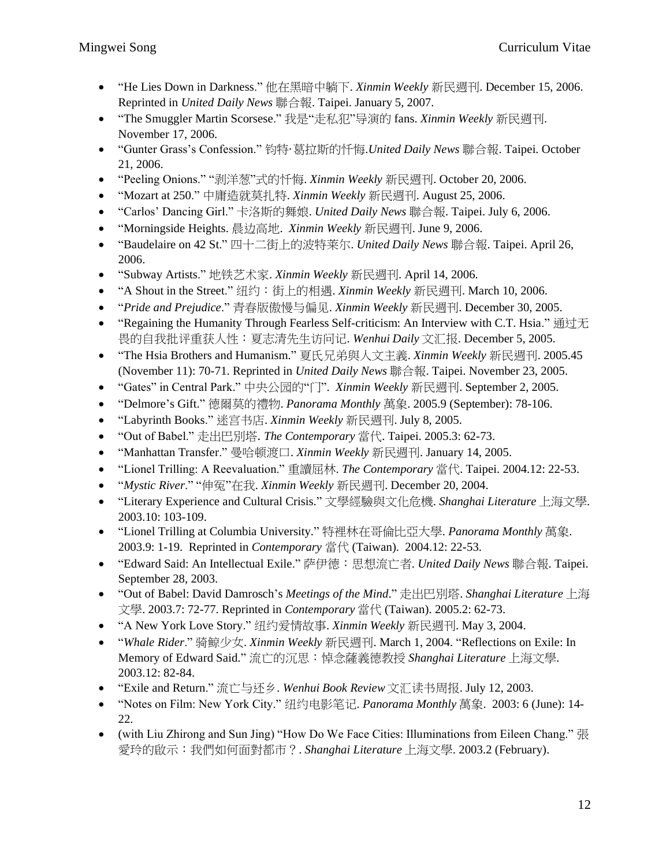- "He Lies Down in Darkness." 他在黑暗中躺下. *Xinmin Weekly* 新民週刊. December 15, 2006. Reprinted in *United Daily News* 聯合報. Taipei. January 5, 2007.
- "The Smuggler Martin Scorsese." 我是"走私犯"导演的 fans. *Xinmin Weekly* 新民週刊. November 17, 2006.
- "Gunter Grass's Confession." 钧特·葛拉斯的忏悔.*United Daily News* 聯合報. Taipei. October 21, 2006.
- "Peeling Onions." "剥洋葱"式的忏悔. *Xinmin Weekly* 新民週刊. October 20, 2006.
- "Mozart at 250." 中庸造就莫扎特. *Xinmin Weekly* 新民週刊. August 25, 2006.
- "Carlos' Dancing Girl." 卡洛斯的舞娘. *United Daily News* 聯合報. Taipei. July 6, 2006.
- "Morningside Heights. 晨边高地. *Xinmin Weekly* 新民週刊. June 9, 2006.
- "Baudelaire on 42 St." 四十二街上的波特莱尔. *United Daily News* 聯合報. Taipei. April 26, 2006.
- "Subway Artists." 地铁艺术家. *Xinmin Weekly* 新民週刊. April 14, 2006.
- "A Shout in the Street." 纽约:街上的相遇. *Xinmin Weekly* 新民週刊. March 10, 2006.
- "*Pride and Prejudice*." 青春版傲慢与偏见. *Xinmin Weekly* 新民週刊. December 30, 2005.
- "Regaining the Humanity Through Fearless Self-criticism: An Interview with C.T. Hsia." 通过无 畏的自我批评重获人性:夏志清先生访问记. *Wenhui Daily* 文汇报. December 5, 2005.
- "The Hsia Brothers and Humanism." 夏氏兄弟與人文主義. *Xinmin Weekly* 新民週刊. 2005.45 (November 11): 70-71. Reprinted in *United Daily News* 聯合報. Taipei. November 23, 2005.
- "Gates" in Central Park." 中央公园的"门". *Xinmin Weekly* 新民週刊. September 2, 2005.
- "Delmore's Gift." 德爾莫的禮物. *Panorama Monthly* 萬象. 2005.9 (September): 78-106.
- "Labyrinth Books." 迷宫书店. *Xinmin Weekly* 新民週刊. July 8, 2005.
- "Out of Babel." 走出巴別塔. *The Contemporary* 當代. Taipei. 2005.3: 62-73.
- "Manhattan Transfer." 曼哈顿渡口. *Xinmin Weekly* 新民週刊. January 14, 2005.
- "Lionel Trilling: A Reevaluation." 重讀屈林. *The Contemporary* 當代. Taipei. 2004.12: 22-53.
- "*Mystic River*." "伸冤"在我. *Xinmin Weekly* 新民週刊. December 20, 2004.
- "Literary Experience and Cultural Crisis." 文學經驗與文化危機. *Shanghai Literature* 上海文學*.* 2003.10: 103-109.
- "Lionel Trilling at Columbia University." 特裡林在哥倫比亞大學. *Panorama Monthly* 萬象. 2003.9: 1-19. Reprinted in *Contemporary* 當代 (Taiwan). 2004.12: 22-53.
- "Edward Said: An Intellectual Exile." 萨伊德:思想流亡者. *United Daily News* 聯合報. Taipei. September 28, 2003.
- "Out of Babel: David Damrosch's *Meetings of the Mind*." 走出巴別塔. *Shanghai Literature* 上海 文學. 2003.7: 72-77. Reprinted in *Contemporary* 當代 (Taiwan). 2005.2: 62-73.
- "A New York Love Story." 纽约爱情故事. *Xinmin Weekly* 新民週刊. May 3, 2004.
- "*Whale Rider*." 骑鲸少女. *Xinmin Weekly* 新民週刊. March 1, 2004. "Reflections on Exile: In Memory of Edward Said." 流亡的沉思:悼念薩義德教授 *Shanghai Literature* 上海文學. 2003.12: 82-84.
- "Exile and Return." 流亡与还乡. *Wenhui Book Review* 文汇读书周报. July 12, 2003.
- "Notes on Film: New York City." 纽约电影笔记. *Panorama Monthly* 萬象. 2003: 6 (June): 14- 22.
- (with Liu Zhirong and Sun Jing) "How Do We Face Cities: Illuminations from Eileen Chang." 張 愛玲的啟示:我們如何面對都市?. *Shanghai Literature* 上海文學. 2003.2 (February).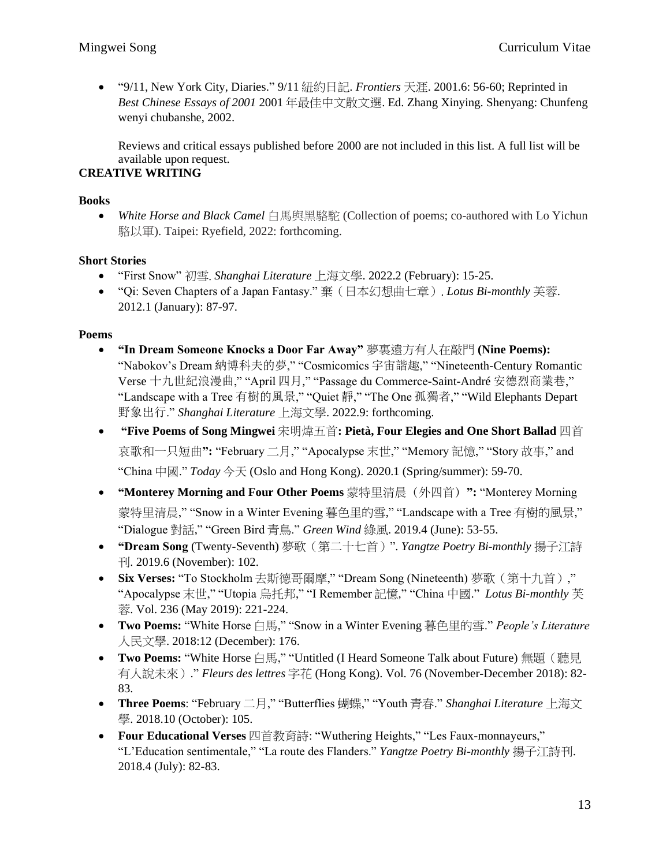• "9/11, New York City, Diaries." 9/11 紐約日記. *Frontiers* 天涯. 2001.6: 56-60; Reprinted in *Best Chinese Essays of 2001* 2001 年最佳中文散文選. Ed. Zhang Xinying. Shenyang: Chunfeng wenyi chubanshe, 2002.

Reviews and critical essays published before 2000 are not included in this list. A full list will be available upon request.

## **CREATIVE WRITING**

### **Books**

• *White Horse and Black Camel* 白馬與黑駱駝 (Collection of poems; co-authored with Lo Yichun 駱以軍). Taipei: Ryefield, 2022: forthcoming.

### **Short Stories**

- "First Snow" 初雪. *Shanghai Literature* 上海文學. 2022.2 (February): 15-25.
- "Qi: Seven Chapters of a Japan Fantasy." 棄(日本幻想曲七章). *Lotus Bi-monthly* 芙蓉. 2012.1 (January): 87-97.

### **Poems**

- **"In Dream Someone Knocks a Door Far Away"** 夢裏遠方有人在敲門 **(Nine Poems):** "Nabokov's Dream 納博科夫的夢," "Cosmicomics 宇宙諧趣," "Nineteenth-Century Romantic Verse 十九世紀浪漫曲," "April 四月," "Passage du Commerce-Saint-André 安德烈商業巷," "Landscape with a Tree 有樹的風景," "Quiet 靜," "The One 孤獨者," "Wild Elephants Depart 野象出行." *Shanghai Literature* 上海文學. 2022.9: forthcoming.
- **"Five Poems of Song Mingwei** 宋明煒五首**: Pietà, Four Elegies and One Short Ballad** 四首 哀歌和一只短曲**":** "February 二月," "Apocalypse 末世," "Memory 記憶," "Story 故事," and "China 中國." *Today* 今天 (Oslo and Hong Kong). 2020.1 (Spring/summer): 59-70.
- **"Monterey Morning and Four Other Poems** 蒙特里清晨(外四首)**":** "Monterey Morning 蒙特里清晨," "Snow in a Winter Evening 暮色里的雪," "Landscape with a Tree 有樹的風景," "Dialogue 對話," "Green Bird 青鳥." *Green Wind* 綠風. 2019.4 (June): 53-55.
- **"Dream Song** (Twenty-Seventh) 夢歌(第二十七首)". *Yangtze Poetry Bi-monthly* 揚子江詩 刊. 2019.6 (November): 102.
- **Six Verses:** "To Stockholm 去斯德哥爾摩," "Dream Song (Nineteenth) 夢歌(第十九首)," "Apocalypse 末世," "Utopia 烏托邦," "I Remember 記憶," "China 中國." *Lotus Bi-monthly* 芙 蓉. Vol. 236 (May 2019): 221-224.
- **Two Poems:** "White Horse 白馬," "Snow in a Winter Evening 暮色里的雪." *People's Literature* 人民文學. 2018:12 (December): 176.
- **Two Poems:** "White Horse 白馬," "Untitled (I Heard Someone Talk about Future) 無題(聽見 有人說未來)." *Fleurs des lettres* 字花 (Hong Kong). Vol. 76 (November-December 2018): 82- 83.
- **Three Poems**: "February 二月," "Butterflies 蝴蝶," "Youth 青春." *Shanghai Literature* 上海文 學. 2018.10 (October): 105.
- **Four Educational Verses** 四首教育詩: "Wuthering Heights," "Les Faux-monnayeurs," "L'Education sentimentale," "La route des Flanders." *Yangtze Poetry Bi-monthly* 揚子江詩刊. 2018.4 (July): 82-83.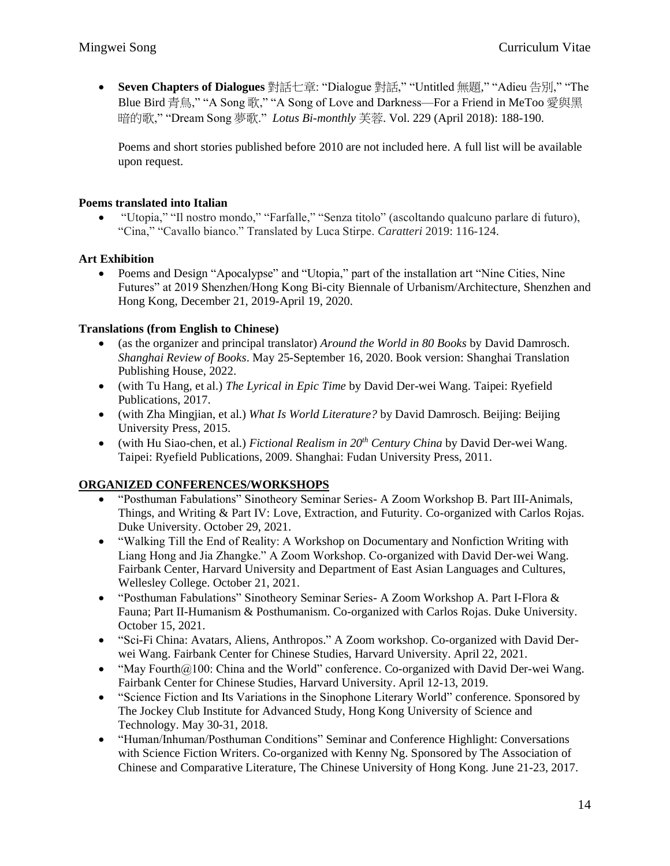• **Seven Chapters of Dialogues** 對話七章: "Dialogue 對話," "Untitled 無題," "Adieu 告別," "The Blue Bird 青鳥," "A Song 歌," "A Song of Love and Darkness—For a Friend in MeToo 愛與黑 暗的歌," "Dream Song 夢歌." *Lotus Bi-monthly* 芙蓉. Vol. 229 (April 2018): 188-190.

Poems and short stories published before 2010 are not included here. A full list will be available upon request.

### **Poems translated into Italian**

• "Utopia," "Il nostro mondo," "Farfalle," "Senza titolo" (ascoltando qualcuno parlare di futuro), "Cina," "Cavallo bianco." Translated by Luca Stirpe. *Caratteri* 2019: 116-124.

### **Art Exhibition**

• Poems and Design "Apocalypse" and "Utopia," part of the installation art "Nine Cities, Nine Futures" at 2019 Shenzhen/Hong Kong Bi-city Biennale of Urbanism/Architecture, Shenzhen and Hong Kong, December 21, 2019-April 19, 2020.

### **Translations (from English to Chinese)**

- (as the organizer and principal translator) *Around the World in 80 Books* by David Damrosch. *Shanghai Review of Books*. May 25-September 16, 2020. Book version: Shanghai Translation Publishing House, 2022.
- (with Tu Hang, et al.) *The Lyrical in Epic Time* by David Der-wei Wang. Taipei: Ryefield Publications, 2017.
- (with Zha Mingjian, et al.) *What Is World Literature?* by David Damrosch. Beijing: Beijing University Press, 2015.
- (with Hu Siao-chen, et al.) *Fictional Realism in 20th Century China* by David Der-wei Wang. Taipei: Ryefield Publications, 2009. Shanghai: Fudan University Press, 2011.

### **ORGANIZED CONFERENCES/WORKSHOPS**

- "Posthuman Fabulations" Sinotheory Seminar Series- A Zoom Workshop B. Part III-Animals, Things, and Writing & Part IV: Love, Extraction, and Futurity. Co-organized with Carlos Rojas. Duke University. October 29, 2021.
- "Walking Till the End of Reality: A Workshop on Documentary and Nonfiction Writing with Liang Hong and Jia Zhangke." A Zoom Workshop. Co-organized with David Der-wei Wang. Fairbank Center, Harvard University and Department of East Asian Languages and Cultures, Wellesley College. October 21, 2021.
- "Posthuman Fabulations" Sinotheory Seminar Series- A Zoom Workshop A. Part I-Flora & Fauna; Part II-Humanism & Posthumanism. Co-organized with Carlos Rojas. Duke University. October 15, 2021.
- "Sci-Fi China: Avatars, Aliens, Anthropos." A Zoom workshop. Co-organized with David Derwei Wang. Fairbank Center for Chinese Studies, Harvard University. April 22, 2021.
- "May Fourth $@100$ : China and the World" conference. Co-organized with David Der-wei Wang. Fairbank Center for Chinese Studies, Harvard University. April 12-13, 2019.
- "Science Fiction and Its Variations in the Sinophone Literary World" conference. Sponsored by The Jockey Club Institute for Advanced Study, Hong Kong University of Science and Technology. May 30-31, 2018.
- "Human/Inhuman/Posthuman Conditions" Seminar and Conference Highlight: Conversations with Science Fiction Writers. Co-organized with Kenny Ng. Sponsored by The Association of Chinese and Comparative Literature, The Chinese University of Hong Kong. June 21-23, 2017.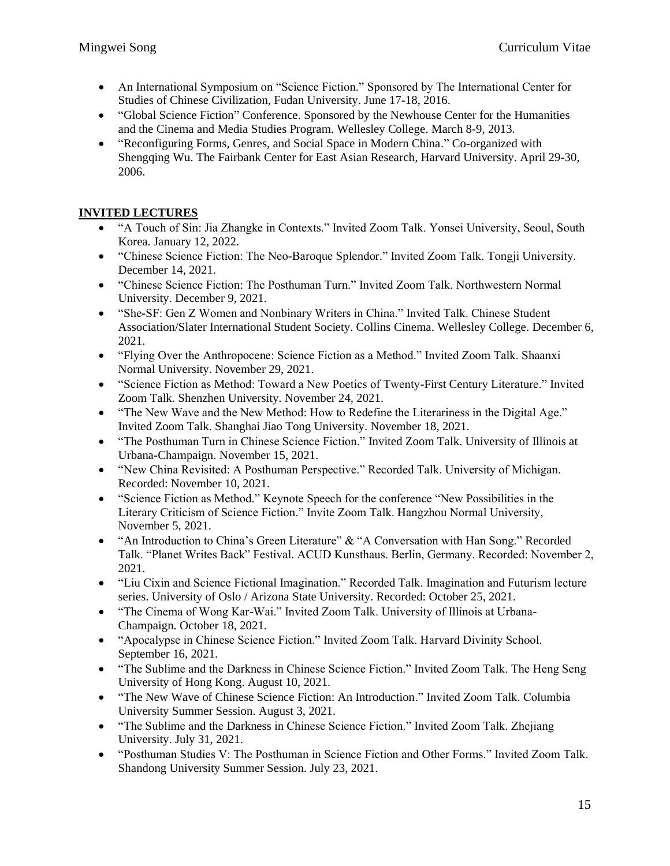- An International Symposium on "Science Fiction." Sponsored by The International Center for Studies of Chinese Civilization, Fudan University. June 17-18, 2016.
- "Global Science Fiction" Conference. Sponsored by the Newhouse Center for the Humanities and the Cinema and Media Studies Program. Wellesley College. March 8-9, 2013.
- "Reconfiguring Forms, Genres, and Social Space in Modern China." Co-organized with Shengqing Wu. The Fairbank Center for East Asian Research, Harvard University. April 29-30, 2006.

## **INVITED LECTURES**

- "A Touch of Sin: Jia Zhangke in Contexts." Invited Zoom Talk. Yonsei University, Seoul, South Korea. January 12, 2022.
- "Chinese Science Fiction: The Neo-Baroque Splendor." Invited Zoom Talk. Tongji University. December 14, 2021.
- "Chinese Science Fiction: The Posthuman Turn." Invited Zoom Talk. Northwestern Normal University. December 9, 2021.
- "She-SF: Gen Z Women and Nonbinary Writers in China." Invited Talk. Chinese Student Association/Slater International Student Society. Collins Cinema. Wellesley College. December 6, 2021.
- "Flying Over the Anthropocene: Science Fiction as a Method." Invited Zoom Talk. Shaanxi Normal University. November 29, 2021.
- "Science Fiction as Method: Toward a New Poetics of Twenty-First Century Literature." Invited Zoom Talk. Shenzhen University. November 24, 2021.
- "The New Wave and the New Method: How to Redefine the Literariness in the Digital Age." Invited Zoom Talk. Shanghai Jiao Tong University. November 18, 2021.
- "The Posthuman Turn in Chinese Science Fiction." Invited Zoom Talk. University of Illinois at Urbana-Champaign. November 15, 2021.
- "New China Revisited: A Posthuman Perspective." Recorded Talk. University of Michigan. Recorded: November 10, 2021.
- "Science Fiction as Method." Keynote Speech for the conference "New Possibilities in the Literary Criticism of Science Fiction." Invite Zoom Talk. Hangzhou Normal University, November 5, 2021.
- "An Introduction to China's Green Literature" & "A Conversation with Han Song." Recorded Talk. "Planet Writes Back" Festival. ACUD Kunsthaus. Berlin, Germany. Recorded: November 2, 2021.
- "Liu Cixin and Science Fictional Imagination." Recorded Talk. Imagination and Futurism lecture series. University of Oslo / Arizona State University. Recorded: October 25, 2021.
- "The Cinema of Wong Kar-Wai." Invited Zoom Talk. University of Illinois at Urbana-Champaign. October 18, 2021.
- "Apocalypse in Chinese Science Fiction." Invited Zoom Talk. Harvard Divinity School. September 16, 2021.
- "The Sublime and the Darkness in Chinese Science Fiction." Invited Zoom Talk. The Heng Seng University of Hong Kong. August 10, 2021.
- "The New Wave of Chinese Science Fiction: An Introduction." Invited Zoom Talk. Columbia University Summer Session. August 3, 2021.
- "The Sublime and the Darkness in Chinese Science Fiction." Invited Zoom Talk. Zhejiang University. July 31, 2021.
- "Posthuman Studies V: The Posthuman in Science Fiction and Other Forms." Invited Zoom Talk. Shandong University Summer Session. July 23, 2021.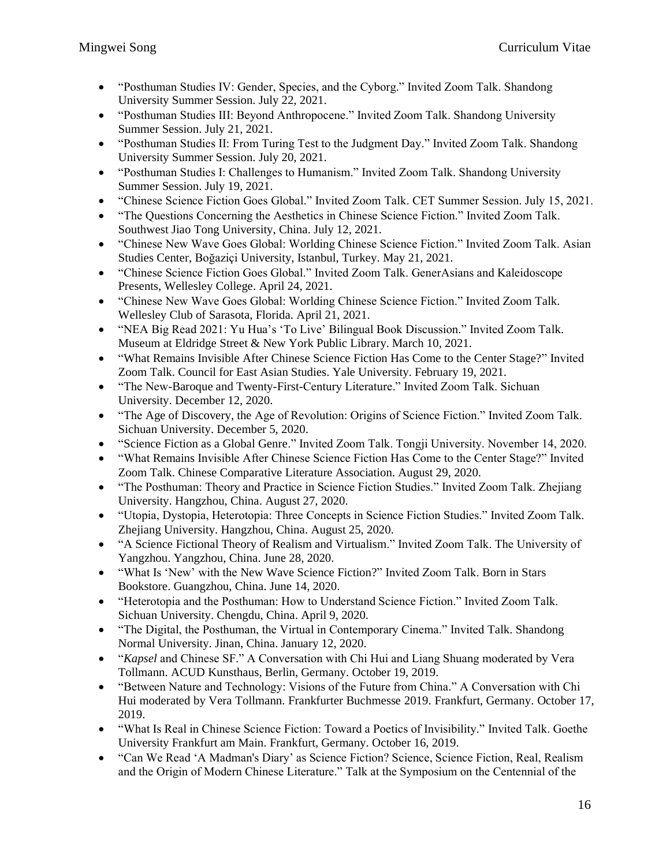- "Posthuman Studies IV: Gender, Species, and the Cyborg." Invited Zoom Talk. Shandong University Summer Session. July 22, 2021.
- "Posthuman Studies III: Beyond Anthropocene." Invited Zoom Talk. Shandong University Summer Session. July 21, 2021.
- "Posthuman Studies II: From Turing Test to the Judgment Day." Invited Zoom Talk. Shandong University Summer Session. July 20, 2021.
- "Posthuman Studies I: Challenges to Humanism." Invited Zoom Talk. Shandong University Summer Session. July 19, 2021.
- "Chinese Science Fiction Goes Global." Invited Zoom Talk. CET Summer Session. July 15, 2021.
- "The Questions Concerning the Aesthetics in Chinese Science Fiction." Invited Zoom Talk. Southwest Jiao Tong University, China. July 12, 2021.
- "Chinese New Wave Goes Global: Worlding Chinese Science Fiction." Invited Zoom Talk. Asian Studies Center, Boğaziçi University, Istanbul, Turkey. May 21, 2021.
- "Chinese Science Fiction Goes Global." Invited Zoom Talk. GenerAsians and Kaleidoscope Presents, Wellesley College. April 24, 2021.
- "Chinese New Wave Goes Global: Worlding Chinese Science Fiction." Invited Zoom Talk. Wellesley Club of Sarasota, Florida. April 21, 2021.
- "NEA Big Read 2021: Yu Hua's 'To Live' Bilingual Book Discussion." Invited Zoom Talk. Museum at Eldridge Street & New York Public Library. March 10, 2021.
- "What Remains Invisible After Chinese Science Fiction Has Come to the Center Stage?" Invited Zoom Talk. Council for East Asian Studies. Yale University. February 19, 2021.
- "The New-Baroque and Twenty-First-Century Literature." Invited Zoom Talk. Sichuan University. December 12, 2020.
- "The Age of Discovery, the Age of Revolution: Origins of Science Fiction." Invited Zoom Talk. Sichuan University. December 5, 2020.
- "Science Fiction as a Global Genre." Invited Zoom Talk. Tongji University. November 14, 2020.
- "What Remains Invisible After Chinese Science Fiction Has Come to the Center Stage?" Invited Zoom Talk. Chinese Comparative Literature Association. August 29, 2020.
- "The Posthuman: Theory and Practice in Science Fiction Studies." Invited Zoom Talk. Zhejiang University. Hangzhou, China. August 27, 2020.
- "Utopia, Dystopia, Heterotopia: Three Concepts in Science Fiction Studies." Invited Zoom Talk. Zhejiang University. Hangzhou, China. August 25, 2020.
- "A Science Fictional Theory of Realism and Virtualism." Invited Zoom Talk. The University of Yangzhou. Yangzhou, China. June 28, 2020.
- "What Is 'New' with the New Wave Science Fiction?" Invited Zoom Talk. Born in Stars Bookstore. Guangzhou, China. June 14, 2020.
- "Heterotopia and the Posthuman: How to Understand Science Fiction." Invited Zoom Talk. Sichuan University. Chengdu, China. April 9, 2020.
- "The Digital, the Posthuman, the Virtual in Contemporary Cinema." Invited Talk. Shandong Normal University. Jinan, China. January 12, 2020.
- "*Kapsel* and Chinese SF." A Conversation with Chi Hui and Liang Shuang moderated by Vera Tollmann. ACUD Kunsthaus, Berlin, Germany. October 19, 2019.
- "Between Nature and Technology: Visions of the Future from China." A Conversation with Chi Hui moderated by Vera Tollmann. Frankfurter Buchmesse 2019. Frankfurt, Germany. October 17, 2019.
- "What Is Real in Chinese Science Fiction: Toward a Poetics of Invisibility." Invited Talk. Goethe University Frankfurt am Main. Frankfurt, Germany. October 16, 2019.
- "Can We Read 'A Madman's Diary' as Science Fiction? Science, Science Fiction, Real, Realism and the Origin of Modern Chinese Literature." Talk at the Symposium on the Centennial of the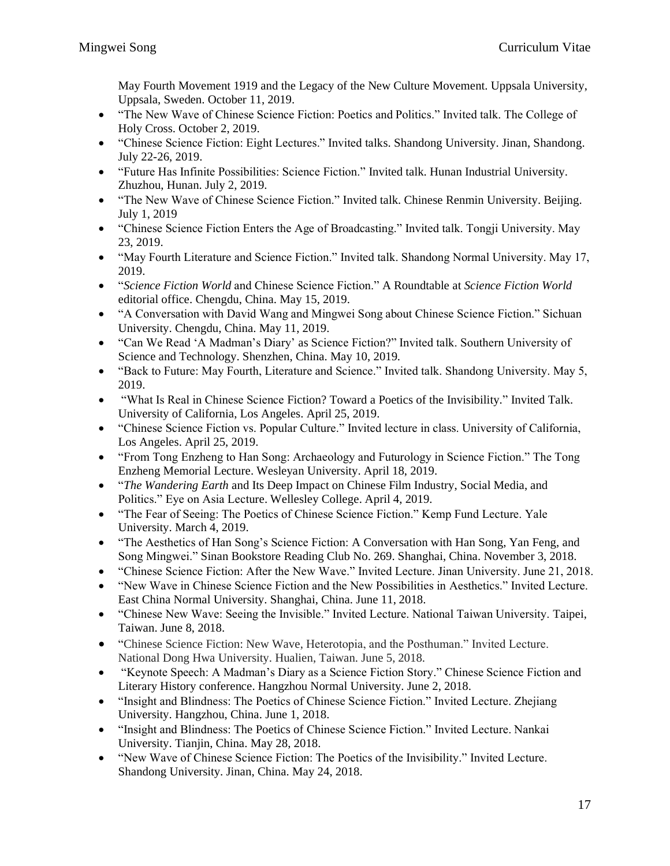May Fourth Movement 1919 and the Legacy of the New Culture Movement. Uppsala University, Uppsala, Sweden. October 11, 2019.

- "The New Wave of Chinese Science Fiction: Poetics and Politics." Invited talk. The College of Holy Cross. October 2, 2019.
- "Chinese Science Fiction: Eight Lectures." Invited talks. Shandong University. Jinan, Shandong. July 22-26, 2019.
- "Future Has Infinite Possibilities: Science Fiction." Invited talk. Hunan Industrial University. Zhuzhou, Hunan. July 2, 2019.
- "The New Wave of Chinese Science Fiction." Invited talk. Chinese Renmin University. Beijing. July 1, 2019
- "Chinese Science Fiction Enters the Age of Broadcasting." Invited talk. Tongji University. May 23, 2019.
- "May Fourth Literature and Science Fiction." Invited talk. Shandong Normal University. May 17, 2019.
- "*Science Fiction World* and Chinese Science Fiction." A Roundtable at *Science Fiction World*  editorial office. Chengdu, China. May 15, 2019.
- "A Conversation with David Wang and Mingwei Song about Chinese Science Fiction." Sichuan University. Chengdu, China. May 11, 2019.
- "Can We Read 'A Madman's Diary' as Science Fiction?" Invited talk. Southern University of Science and Technology. Shenzhen, China. May 10, 2019.
- "Back to Future: May Fourth, Literature and Science." Invited talk. Shandong University. May 5, 2019.
- "What Is Real in Chinese Science Fiction? Toward a Poetics of the Invisibility." Invited Talk. University of California, Los Angeles. April 25, 2019.
- "Chinese Science Fiction vs. Popular Culture." Invited lecture in class. University of California, Los Angeles. April 25, 2019.
- "From Tong Enzheng to Han Song: Archaeology and Futurology in Science Fiction." The Tong Enzheng Memorial Lecture. Wesleyan University. April 18, 2019.
- "*The Wandering Earth* and Its Deep Impact on Chinese Film Industry, Social Media, and Politics." Eye on Asia Lecture. Wellesley College. April 4, 2019.
- "The Fear of Seeing: The Poetics of Chinese Science Fiction." Kemp Fund Lecture. Yale University. March 4, 2019.
- "The Aesthetics of Han Song's Science Fiction: A Conversation with Han Song, Yan Feng, and Song Mingwei." Sinan Bookstore Reading Club No. 269. Shanghai, China. November 3, 2018.
- "Chinese Science Fiction: After the New Wave." Invited Lecture. Jinan University. June 21, 2018.
- "New Wave in Chinese Science Fiction and the New Possibilities in Aesthetics." Invited Lecture. East China Normal University. Shanghai, China. June 11, 2018.
- "Chinese New Wave: Seeing the Invisible." Invited Lecture. National Taiwan University. Taipei, Taiwan. June 8, 2018.
- "Chinese Science Fiction: New Wave, Heterotopia, and the Posthuman." Invited Lecture. National Dong Hwa University. Hualien, Taiwan. June 5, 2018.
- "Keynote Speech: A Madman's Diary as a Science Fiction Story." Chinese Science Fiction and Literary History conference. Hangzhou Normal University. June 2, 2018.
- "Insight and Blindness: The Poetics of Chinese Science Fiction." Invited Lecture. Zhejiang University. Hangzhou, China. June 1, 2018.
- "Insight and Blindness: The Poetics of Chinese Science Fiction." Invited Lecture. Nankai University. Tianjin, China. May 28, 2018.
- "New Wave of Chinese Science Fiction: The Poetics of the Invisibility." Invited Lecture. Shandong University. Jinan, China. May 24, 2018.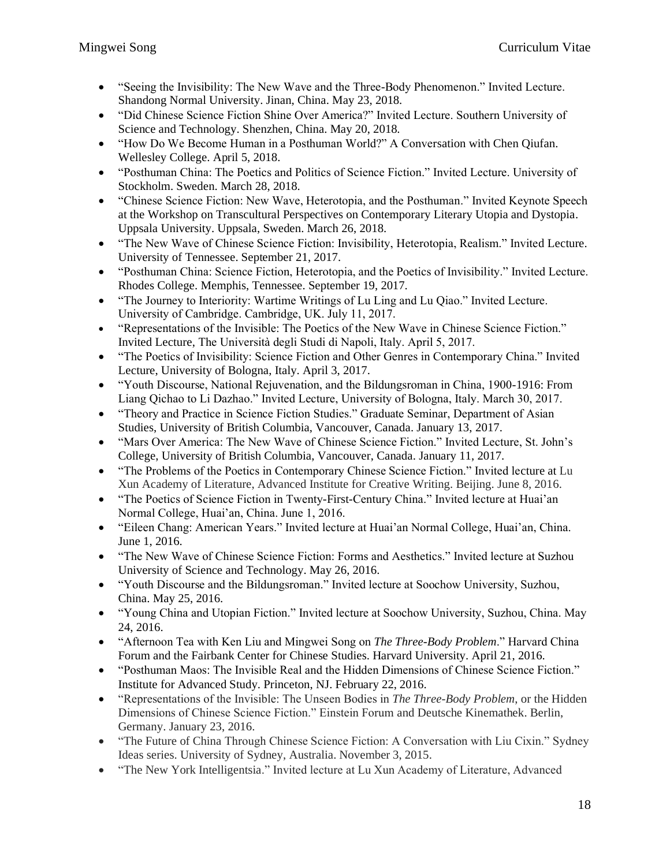- "Seeing the Invisibility: The New Wave and the Three-Body Phenomenon." Invited Lecture. Shandong Normal University. Jinan, China. May 23, 2018.
- "Did Chinese Science Fiction Shine Over America?" Invited Lecture. Southern University of Science and Technology. Shenzhen, China. May 20, 2018.
- "How Do We Become Human in a Posthuman World?" A Conversation with Chen Qiufan. Wellesley College. April 5, 2018.
- "Posthuman China: The Poetics and Politics of Science Fiction." Invited Lecture. University of Stockholm. Sweden. March 28, 2018.
- "Chinese Science Fiction: New Wave, Heterotopia, and the Posthuman." Invited Keynote Speech at the Workshop on Transcultural Perspectives on Contemporary Literary Utopia and Dystopia. Uppsala University. Uppsala, Sweden. March 26, 2018.
- "The New Wave of Chinese Science Fiction: Invisibility, Heterotopia, Realism." Invited Lecture. University of Tennessee. September 21, 2017.
- "Posthuman China: Science Fiction, Heterotopia, and the Poetics of Invisibility." Invited Lecture. Rhodes College. Memphis, Tennessee. September 19, 2017.
- "The Journey to Interiority: Wartime Writings of Lu Ling and Lu Qiao." Invited Lecture. University of Cambridge. Cambridge, UK. July 11, 2017.
- "Representations of the Invisible: The Poetics of the New Wave in Chinese Science Fiction." Invited Lecture, The Università degli Studi di Napoli, Italy. April 5, 2017.
- "The Poetics of Invisibility: Science Fiction and Other Genres in Contemporary China." Invited Lecture, University of Bologna, Italy. April 3, 2017.
- "Youth Discourse, National Rejuvenation, and the Bildungsroman in China, 1900-1916: From Liang Qichao to Li Dazhao." Invited Lecture, University of Bologna, Italy. March 30, 2017.
- "Theory and Practice in Science Fiction Studies." Graduate Seminar, Department of Asian Studies, University of British Columbia, Vancouver, Canada. January 13, 2017.
- "Mars Over America: The New Wave of Chinese Science Fiction." Invited Lecture, St. John's College, University of British Columbia, Vancouver, Canada. January 11, 2017.
- "The Problems of the Poetics in Contemporary Chinese Science Fiction." Invited lecture at Lu Xun Academy of Literature, Advanced Institute for Creative Writing. Beijing. June 8, 2016.
- "The Poetics of Science Fiction in Twenty-First-Century China." Invited lecture at Huai'an Normal College, Huai'an, China. June 1, 2016.
- "Eileen Chang: American Years." Invited lecture at Huai'an Normal College, Huai'an, China. June 1, 2016.
- "The New Wave of Chinese Science Fiction: Forms and Aesthetics." Invited lecture at Suzhou University of Science and Technology. May 26, 2016.
- "Youth Discourse and the Bildungsroman." Invited lecture at Soochow University, Suzhou, China. May 25, 2016.
- "Young China and Utopian Fiction." Invited lecture at Soochow University, Suzhou, China. May 24, 2016.
- "Afternoon Tea with Ken Liu and Mingwei Song on *The Three-Body Problem*." Harvard China Forum and the Fairbank Center for Chinese Studies. Harvard University. April 21, 2016.
- "Posthuman Maos: The Invisible Real and the Hidden Dimensions of Chinese Science Fiction." Institute for Advanced Study. Princeton, NJ. February 22, 2016.
- "Representations of the Invisible: The Unseen Bodies in *The Three-Body Problem*, or the Hidden Dimensions of Chinese Science Fiction." Einstein Forum and Deutsche Kinemathek. Berlin, Germany. January 23, 2016.
- "The Future of China Through Chinese Science Fiction: A Conversation with Liu Cixin." Sydney Ideas series. University of Sydney, Australia. November 3, 2015.
- "The New York Intelligentsia." Invited lecture at Lu Xun Academy of Literature, Advanced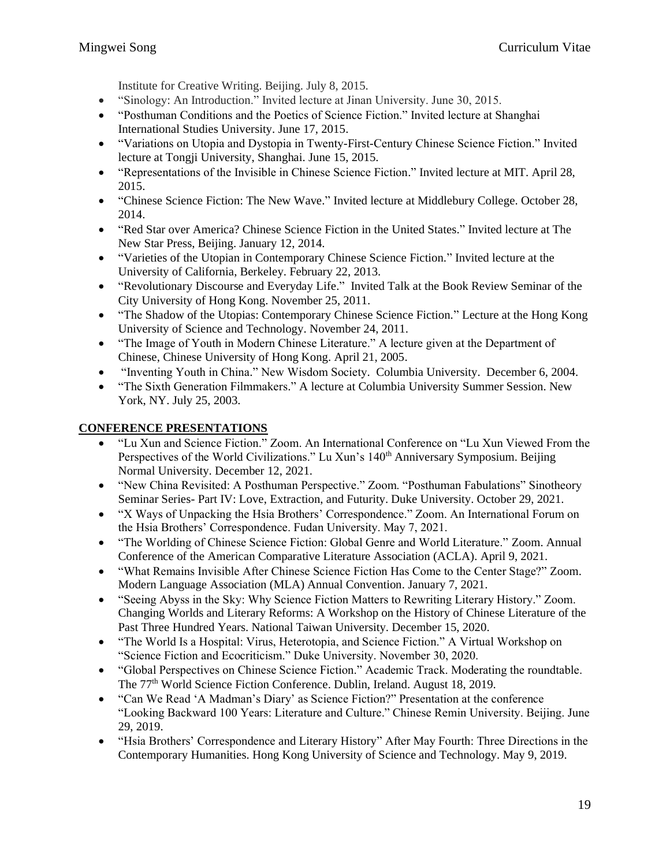Institute for Creative Writing. Beijing. July 8, 2015.

- "Sinology: An Introduction." Invited lecture at Jinan University. June 30, 2015.
- "Posthuman Conditions and the Poetics of Science Fiction." Invited lecture at Shanghai International Studies University. June 17, 2015.
- "Variations on Utopia and Dystopia in Twenty-First-Century Chinese Science Fiction." Invited lecture at Tongji University, Shanghai. June 15, 2015.
- "Representations of the Invisible in Chinese Science Fiction." Invited lecture at MIT. April 28, 2015.
- "Chinese Science Fiction: The New Wave." Invited lecture at Middlebury College. October 28, 2014.
- "Red Star over America? Chinese Science Fiction in the United States." Invited lecture at The New Star Press, Beijing. January 12, 2014.
- "Varieties of the Utopian in Contemporary Chinese Science Fiction." Invited lecture at the University of California, Berkeley. February 22, 2013.
- "Revolutionary Discourse and Everyday Life." Invited Talk at the Book Review Seminar of the City University of Hong Kong. November 25, 2011.
- "The Shadow of the Utopias: Contemporary Chinese Science Fiction." Lecture at the Hong Kong University of Science and Technology. November 24, 2011.
- "The Image of Youth in Modern Chinese Literature." A lecture given at the Department of Chinese, Chinese University of Hong Kong. April 21, 2005.
- "Inventing Youth in China." New Wisdom Society. Columbia University. December 6, 2004.
- "The Sixth Generation Filmmakers." A lecture at Columbia University Summer Session. New York, NY. July 25, 2003.

### **CONFERENCE PRESENTATIONS**

- "Lu Xun and Science Fiction." Zoom. An International Conference on "Lu Xun Viewed From the Perspectives of the World Civilizations." Lu Xun's 140<sup>th</sup> Anniversary Symposium. Beijing Normal University. December 12, 2021.
- "New China Revisited: A Posthuman Perspective." Zoom. "Posthuman Fabulations" Sinotheory Seminar Series- Part IV: Love, Extraction, and Futurity. Duke University. October 29, 2021.
- "X Ways of Unpacking the Hsia Brothers' Correspondence." Zoom. An International Forum on the Hsia Brothers' Correspondence. Fudan University. May 7, 2021.
- "The Worlding of Chinese Science Fiction: Global Genre and World Literature." Zoom. Annual Conference of the American Comparative Literature Association (ACLA). April 9, 2021.
- "What Remains Invisible After Chinese Science Fiction Has Come to the Center Stage?" Zoom. Modern Language Association (MLA) Annual Convention. January 7, 2021.
- "Seeing Abyss in the Sky: Why Science Fiction Matters to Rewriting Literary History." Zoom. Changing Worlds and Literary Reforms: A Workshop on the History of Chinese Literature of the Past Three Hundred Years. National Taiwan University. December 15, 2020.
- "The World Is a Hospital: Virus, Heterotopia, and Science Fiction." A Virtual Workshop on "Science Fiction and Ecocriticism." Duke University. November 30, 2020.
- "Global Perspectives on Chinese Science Fiction." Academic Track. Moderating the roundtable. The 77th World Science Fiction Conference. Dublin, Ireland. August 18, 2019.
- "Can We Read 'A Madman's Diary' as Science Fiction?" Presentation at the conference "Looking Backward 100 Years: Literature and Culture." Chinese Remin University. Beijing. June 29, 2019.
- "Hsia Brothers' Correspondence and Literary History" After May Fourth: Three Directions in the Contemporary Humanities. Hong Kong University of Science and Technology. May 9, 2019.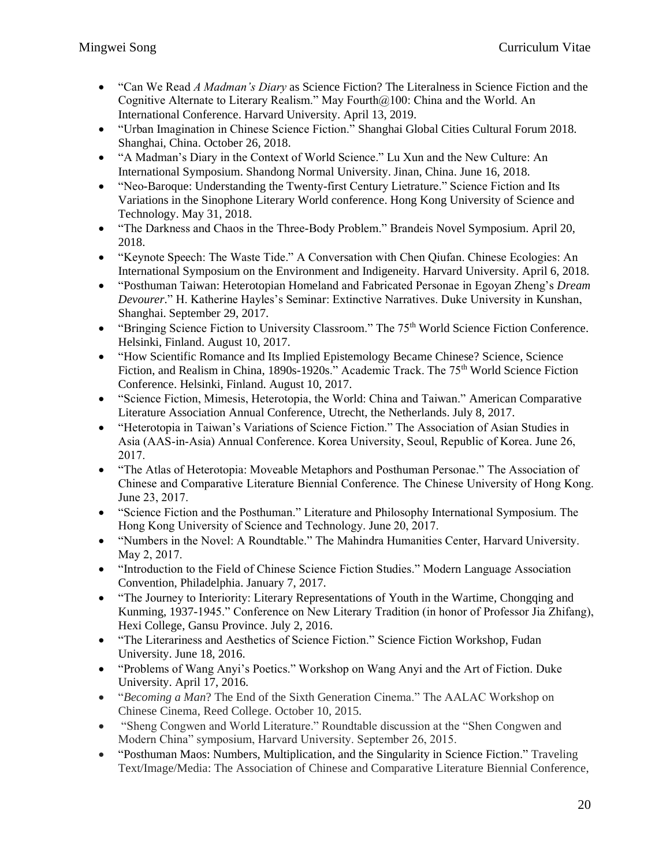- "Can We Read *A Madman's Diary* as Science Fiction? The Literalness in Science Fiction and the Cognitive Alternate to Literary Realism." May Fourth $@100$ : China and the World. An International Conference. Harvard University. April 13, 2019.
- "Urban Imagination in Chinese Science Fiction." Shanghai Global Cities Cultural Forum 2018. Shanghai, China. October 26, 2018.
- "A Madman's Diary in the Context of World Science." Lu Xun and the New Culture: An International Symposium. Shandong Normal University. Jinan, China. June 16, 2018.
- "Neo-Baroque: Understanding the Twenty-first Century Lietrature." Science Fiction and Its Variations in the Sinophone Literary World conference. Hong Kong University of Science and Technology. May 31, 2018.
- "The Darkness and Chaos in the Three-Body Problem." Brandeis Novel Symposium. April 20, 2018.
- "Keynote Speech: The Waste Tide." A Conversation with Chen Qiufan. Chinese Ecologies: An International Symposium on the Environment and Indigeneity. Harvard University. April 6, 2018.
- "Posthuman Taiwan: Heterotopian Homeland and Fabricated Personae in Egoyan Zheng's *Dream Devourer*." H. Katherine Hayles's Seminar: Extinctive Narratives. Duke University in Kunshan, Shanghai. September 29, 2017.
- "Bringing Science Fiction to University Classroom." The 75<sup>th</sup> World Science Fiction Conference. Helsinki, Finland. August 10, 2017.
- "How Scientific Romance and Its Implied Epistemology Became Chinese? Science, Science Fiction, and Realism in China, 1890s-1920s." Academic Track. The 75<sup>th</sup> World Science Fiction Conference. Helsinki, Finland. August 10, 2017.
- "Science Fiction, Mimesis, Heterotopia, the World: China and Taiwan." American Comparative Literature Association Annual Conference, Utrecht, the Netherlands. July 8, 2017.
- "Heterotopia in Taiwan's Variations of Science Fiction." The Association of Asian Studies in Asia (AAS-in-Asia) Annual Conference. Korea University, Seoul, Republic of Korea. June 26, 2017.
- "The Atlas of Heterotopia: Moveable Metaphors and Posthuman Personae." The Association of Chinese and Comparative Literature Biennial Conference. The Chinese University of Hong Kong. June 23, 2017.
- "Science Fiction and the Posthuman." Literature and Philosophy International Symposium. The Hong Kong University of Science and Technology. June 20, 2017.
- "Numbers in the Novel: A Roundtable." The Mahindra Humanities Center, Harvard University. May 2, 2017.
- "Introduction to the Field of Chinese Science Fiction Studies." Modern Language Association Convention, Philadelphia. January 7, 2017.
- "The Journey to Interiority: Literary Representations of Youth in the Wartime, Chongqing and Kunming, 1937-1945." Conference on New Literary Tradition (in honor of Professor Jia Zhifang), Hexi College, Gansu Province. July 2, 2016.
- "The Literariness and Aesthetics of Science Fiction." Science Fiction Workshop, Fudan University. June 18, 2016.
- "Problems of Wang Anyi's Poetics." Workshop on Wang Anyi and the Art of Fiction. Duke University. April 17, 2016.
- "*Becoming a Man*? The End of the Sixth Generation Cinema." The AALAC Workshop on Chinese Cinema, Reed College. October 10, 2015.
- "Sheng Congwen and World Literature." Roundtable discussion at the "Shen Congwen and Modern China" symposium, Harvard University. September 26, 2015.
- "Posthuman Maos: Numbers, Multiplication, and the Singularity in Science Fiction." Traveling Text/Image/Media: The Association of Chinese and Comparative Literature Biennial Conference,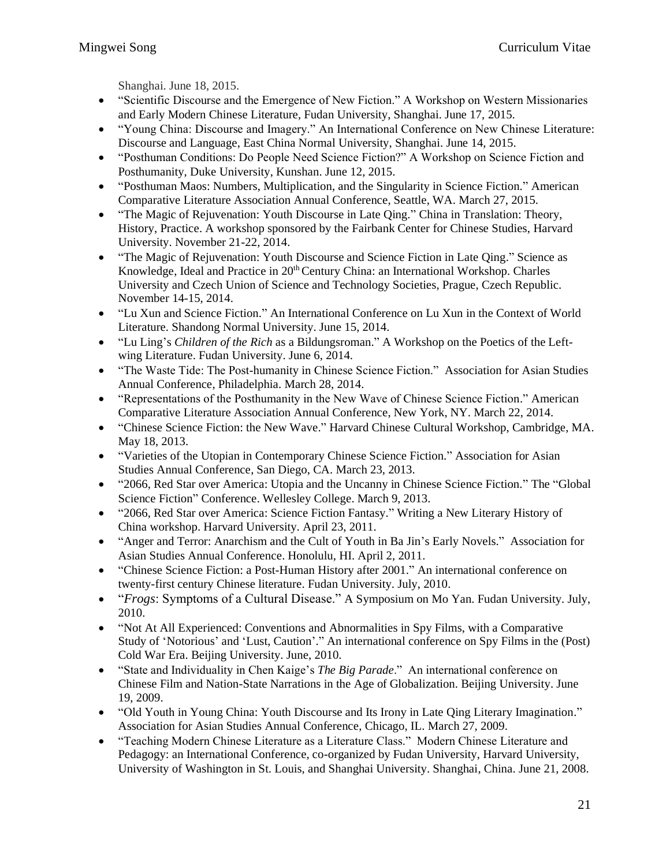Shanghai. June 18, 2015.

- "Scientific Discourse and the Emergence of New Fiction." A Workshop on Western Missionaries and Early Modern Chinese Literature, Fudan University, Shanghai. June 17, 2015.
- "Young China: Discourse and Imagery." An International Conference on New Chinese Literature: Discourse and Language, East China Normal University, Shanghai. June 14, 2015.
- "Posthuman Conditions: Do People Need Science Fiction?" A Workshop on Science Fiction and Posthumanity, Duke University, Kunshan. June 12, 2015.
- "Posthuman Maos: Numbers, Multiplication, and the Singularity in Science Fiction." American Comparative Literature Association Annual Conference, Seattle, WA. March 27, 2015.
- "The Magic of Rejuvenation: Youth Discourse in Late Qing." China in Translation: Theory, History, Practice. A workshop sponsored by the Fairbank Center for Chinese Studies, Harvard University. November 21-22, 2014.
- "The Magic of Rejuvenation: Youth Discourse and Science Fiction in Late Qing." Science as Knowledge, Ideal and Practice in 20<sup>th</sup> Century China: an International Workshop. Charles University and Czech Union of Science and Technology Societies, Prague, Czech Republic. November 14-15, 2014.
- "Lu Xun and Science Fiction." An International Conference on Lu Xun in the Context of World Literature. Shandong Normal University. June 15, 2014.
- "Lu Ling's *Children of the Rich* as a Bildungsroman." A Workshop on the Poetics of the Leftwing Literature. Fudan University. June 6, 2014.
- "The Waste Tide: The Post-humanity in Chinese Science Fiction." Association for Asian Studies Annual Conference, Philadelphia. March 28, 2014.
- "Representations of the Posthumanity in the New Wave of Chinese Science Fiction." American Comparative Literature Association Annual Conference, New York, NY. March 22, 2014.
- "Chinese Science Fiction: the New Wave." Harvard Chinese Cultural Workshop, Cambridge, MA. May 18, 2013.
- "Varieties of the Utopian in Contemporary Chinese Science Fiction." Association for Asian Studies Annual Conference, San Diego, CA. March 23, 2013.
- "2066, Red Star over America: Utopia and the Uncanny in Chinese Science Fiction." The "Global" Science Fiction" Conference. Wellesley College. March 9, 2013.
- "2066, Red Star over America: Science Fiction Fantasy." Writing a New Literary History of China workshop. Harvard University. April 23, 2011.
- "Anger and Terror: Anarchism and the Cult of Youth in Ba Jin's Early Novels." Association for Asian Studies Annual Conference. Honolulu, HI. April 2, 2011.
- "Chinese Science Fiction: a Post-Human History after 2001." An international conference on twenty-first century Chinese literature. Fudan University. July, 2010.
- "*Frogs*: Symptoms of a Cultural Disease." A Symposium on Mo Yan. Fudan University. July, 2010.
- "Not At All Experienced: Conventions and Abnormalities in Spy Films, with a Comparative Study of 'Notorious' and 'Lust, Caution'." An international conference on Spy Films in the (Post) Cold War Era. Beijing University. June, 2010.
- "State and Individuality in Chen Kaige's *The Big Parade*." An international conference on Chinese Film and Nation-State Narrations in the Age of Globalization. Beijing University. June 19, 2009.
- "Old Youth in Young China: Youth Discourse and Its Irony in Late Oing Literary Imagination." Association for Asian Studies Annual Conference, Chicago, IL. March 27, 2009.
- "Teaching Modern Chinese Literature as a Literature Class." Modern Chinese Literature and Pedagogy: an International Conference, co-organized by Fudan University, Harvard University, University of Washington in St. Louis, and Shanghai University. Shanghai, China. June 21, 2008.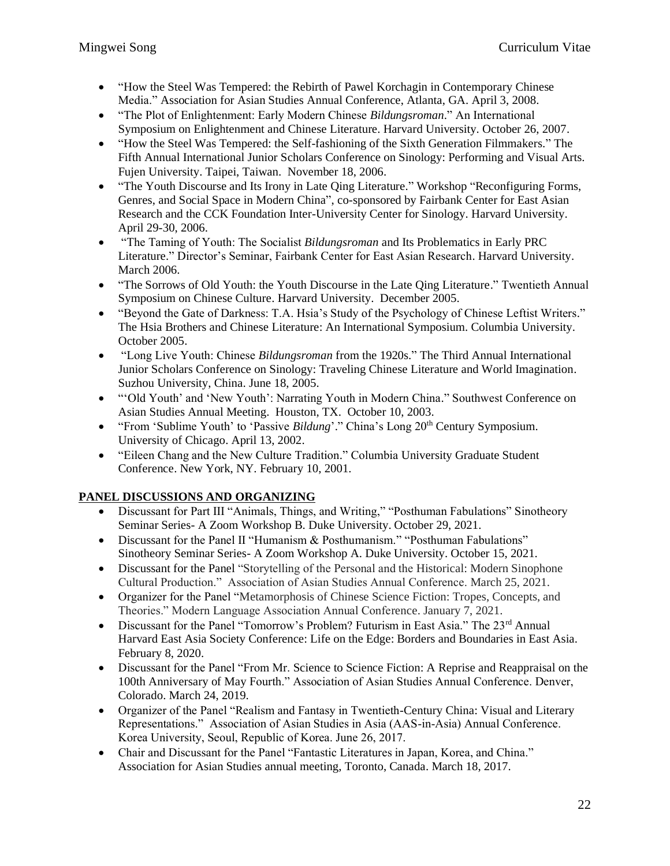- "How the Steel Was Tempered: the Rebirth of Pawel Korchagin in Contemporary Chinese Media." Association for Asian Studies Annual Conference, Atlanta, GA. April 3, 2008.
- "The Plot of Enlightenment: Early Modern Chinese *Bildungsroman*." An International Symposium on Enlightenment and Chinese Literature. Harvard University. October 26, 2007.
- "How the Steel Was Tempered: the Self-fashioning of the Sixth Generation Filmmakers." The Fifth Annual International Junior Scholars Conference on Sinology: Performing and Visual Arts. Fujen University. Taipei, Taiwan. November 18, 2006.
- "The Youth Discourse and Its Irony in Late Qing Literature." Workshop "Reconfiguring Forms, Genres, and Social Space in Modern China", co-sponsored by Fairbank Center for East Asian Research and the CCK Foundation Inter-University Center for Sinology. Harvard University. April 29-30, 2006.
- "The Taming of Youth: The Socialist *Bildungsroman* and Its Problematics in Early PRC Literature." Director's Seminar, Fairbank Center for East Asian Research. Harvard University. March 2006.
- "The Sorrows of Old Youth: the Youth Discourse in the Late Qing Literature." Twentieth Annual Symposium on Chinese Culture. Harvard University. December 2005.
- "Beyond the Gate of Darkness: T.A. Hsia's Study of the Psychology of Chinese Leftist Writers." The Hsia Brothers and Chinese Literature: An International Symposium. Columbia University. October 2005.
- "Long Live Youth: Chinese *Bildungsroman* from the 1920s." The Third Annual International Junior Scholars Conference on Sinology: Traveling Chinese Literature and World Imagination. Suzhou University, China. June 18, 2005.
- "Old Youth' and 'New Youth': Narrating Youth in Modern China." Southwest Conference on Asian Studies Annual Meeting. Houston, TX. October 10, 2003.
- "From 'Sublime Youth' to 'Passive *Bildung*'." China's Long 20<sup>th</sup> Century Symposium. University of Chicago. April 13, 2002.
- "Eileen Chang and the New Culture Tradition." Columbia University Graduate Student Conference. New York, NY. February 10, 2001.

# **PANEL DISCUSSIONS AND ORGANIZING**

- Discussant for Part III "Animals, Things, and Writing," "Posthuman Fabulations" Sinotheory Seminar Series- A Zoom Workshop B. Duke University. October 29, 2021.
- Discussant for the Panel II "Humanism & Posthumanism." "Posthuman Fabulations" Sinotheory Seminar Series- A Zoom Workshop A. Duke University. October 15, 2021.
- Discussant for the Panel "Storytelling of the Personal and the Historical: Modern Sinophone Cultural Production." Association of Asian Studies Annual Conference. March 25, 2021.
- Organizer for the Panel "Metamorphosis of Chinese Science Fiction: Tropes, Concepts, and Theories." Modern Language Association Annual Conference. January 7, 2021.
- Discussant for the Panel "Tomorrow's Problem? Futurism in East Asia." The 23<sup>rd</sup> Annual Harvard East Asia Society Conference: Life on the Edge: Borders and Boundaries in East Asia. February 8, 2020.
- Discussant for the Panel "From Mr. Science to Science Fiction: A Reprise and Reappraisal on the 100th Anniversary of May Fourth." Association of Asian Studies Annual Conference. Denver, Colorado. March 24, 2019.
- Organizer of the Panel "Realism and Fantasy in Twentieth-Century China: Visual and Literary Representations." Association of Asian Studies in Asia (AAS-in-Asia) Annual Conference. Korea University, Seoul, Republic of Korea. June 26, 2017.
- Chair and Discussant for the Panel "Fantastic Literatures in Japan, Korea, and China." Association for Asian Studies annual meeting, Toronto, Canada. March 18, 2017.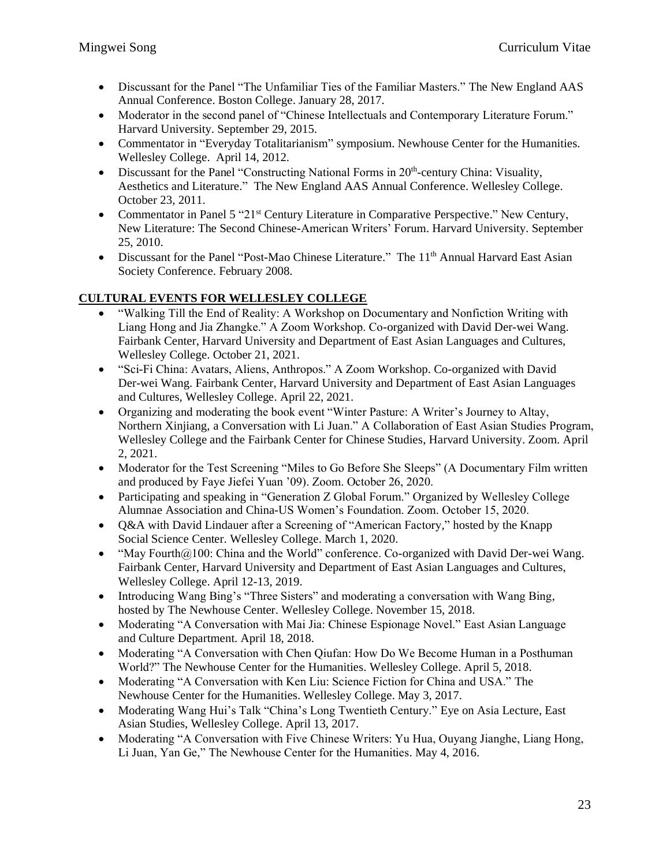- Discussant for the Panel "The Unfamiliar Ties of the Familiar Masters." The New England AAS Annual Conference. Boston College. January 28, 2017.
- Moderator in the second panel of "Chinese Intellectuals and Contemporary Literature Forum." Harvard University. September 29, 2015.
- Commentator in "Everyday Totalitarianism" symposium. Newhouse Center for the Humanities. Wellesley College. April 14, 2012.
- Discussant for the Panel "Constructing National Forms in  $20<sup>th</sup>$ -century China: Visuality, Aesthetics and Literature." The New England AAS Annual Conference. Wellesley College. October 23, 2011.
- Commentator in Panel 5 "21 $\mathrm{s}$ " Century Literature in Comparative Perspective." New Century, New Literature: The Second Chinese-American Writers' Forum. Harvard University. September 25, 2010.
- Discussant for the Panel "Post-Mao Chinese Literature." The 11<sup>th</sup> Annual Harvard East Asian Society Conference. February 2008.

## **CULTURAL EVENTS FOR WELLESLEY COLLEGE**

- "Walking Till the End of Reality: A Workshop on Documentary and Nonfiction Writing with Liang Hong and Jia Zhangke." A Zoom Workshop. Co-organized with David Der-wei Wang. Fairbank Center, Harvard University and Department of East Asian Languages and Cultures, Wellesley College. October 21, 2021.
- "Sci-Fi China: Avatars, Aliens, Anthropos." A Zoom Workshop. Co-organized with David Der-wei Wang. Fairbank Center, Harvard University and Department of East Asian Languages and Cultures, Wellesley College. April 22, 2021.
- Organizing and moderating the book event "Winter Pasture: A Writer's Journey to Altay, Northern Xinjiang, a Conversation with Li Juan." A Collaboration of East Asian Studies Program, Wellesley College and the Fairbank Center for Chinese Studies, Harvard University. Zoom. April 2, 2021.
- Moderator for the Test Screening "Miles to Go Before She Sleeps" (A Documentary Film written and produced by Faye Jiefei Yuan '09). Zoom. October 26, 2020.
- Participating and speaking in "Generation Z Global Forum." Organized by Wellesley College Alumnae Association and China-US Women's Foundation. Zoom. October 15, 2020.
- Q&A with David Lindauer after a Screening of "American Factory," hosted by the Knapp Social Science Center. Wellesley College. March 1, 2020.
- "May Fourth@100: China and the World" conference. Co-organized with David Der-wei Wang. Fairbank Center, Harvard University and Department of East Asian Languages and Cultures, Wellesley College. April 12-13, 2019.
- Introducing Wang Bing's "Three Sisters" and moderating a conversation with Wang Bing, hosted by The Newhouse Center. Wellesley College. November 15, 2018.
- Moderating "A Conversation with Mai Jia: Chinese Espionage Novel." East Asian Language and Culture Department. April 18, 2018.
- Moderating "A Conversation with Chen Oiufan: How Do We Become Human in a Posthuman World?" The Newhouse Center for the Humanities. Wellesley College. April 5, 2018.
- Moderating "A Conversation with Ken Liu: Science Fiction for China and USA." The Newhouse Center for the Humanities. Wellesley College. May 3, 2017.
- Moderating Wang Hui's Talk "China's Long Twentieth Century." Eye on Asia Lecture, East Asian Studies, Wellesley College. April 13, 2017.
- Moderating "A Conversation with Five Chinese Writers: Yu Hua, Ouyang Jianghe, Liang Hong, Li Juan, Yan Ge," The Newhouse Center for the Humanities. May 4, 2016.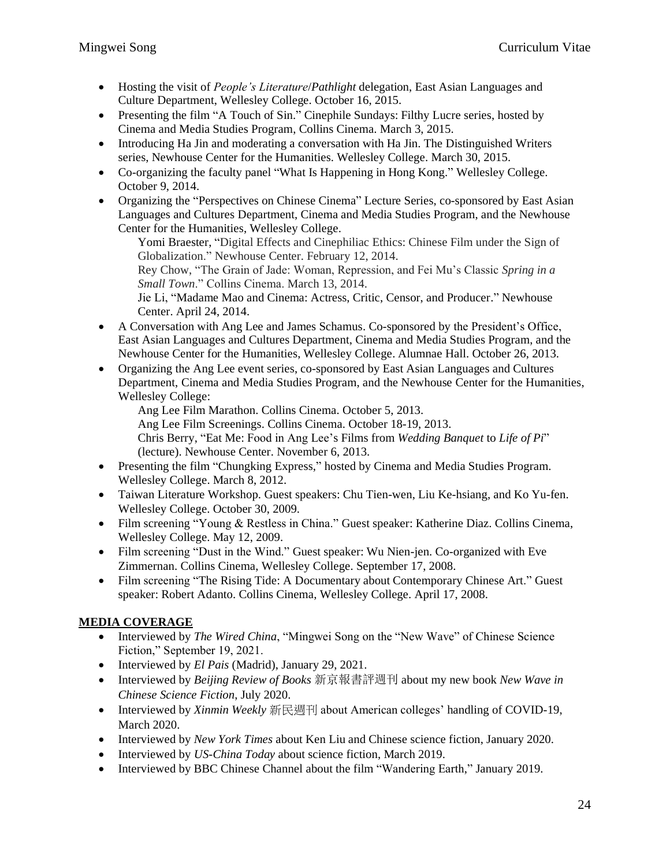- Hosting the visit of *People's Literature*/*Pathlight* delegation, East Asian Languages and Culture Department, Wellesley College. October 16, 2015.
- Presenting the film "A Touch of Sin." Cinephile Sundays: Filthy Lucre series, hosted by Cinema and Media Studies Program, Collins Cinema. March 3, 2015.
- Introducing Ha Jin and moderating a conversation with Ha Jin. The Distinguished Writers series, Newhouse Center for the Humanities. Wellesley College. March 30, 2015.
- Co-organizing the faculty panel "What Is Happening in Hong Kong." Wellesley College. October 9, 2014.
- Organizing the "Perspectives on Chinese Cinema" Lecture Series, co-sponsored by East Asian Languages and Cultures Department, Cinema and Media Studies Program, and the Newhouse Center for the Humanities, Wellesley College.

Yomi Braester, "Digital Effects and Cinephiliac Ethics: Chinese Film under the Sign of Globalization." Newhouse Center. February 12, 2014.

Rey Chow, "The Grain of Jade: Woman, Repression, and Fei Mu's Classic *Spring in a Small Town*." Collins Cinema. March 13, 2014.

Jie Li, "Madame Mao and Cinema: Actress, Critic, Censor, and Producer." Newhouse Center. April 24, 2014.

- A Conversation with Ang Lee and James Schamus. Co-sponsored by the President's Office, East Asian Languages and Cultures Department, Cinema and Media Studies Program, and the Newhouse Center for the Humanities, Wellesley College. Alumnae Hall. October 26, 2013.
- Organizing the Ang Lee event series, co-sponsored by East Asian Languages and Cultures Department, Cinema and Media Studies Program, and the Newhouse Center for the Humanities, Wellesley College:

Ang Lee Film Marathon. Collins Cinema. October 5, 2013. Ang Lee Film Screenings. Collins Cinema. October 18-19, 2013. Chris Berry, "Eat Me: Food in Ang Lee's Films from *Wedding Banquet* to *Life of Pi*" (lecture). Newhouse Center. November 6, 2013.

- Presenting the film "Chungking Express," hosted by Cinema and Media Studies Program. Wellesley College. March 8, 2012.
- Taiwan Literature Workshop. Guest speakers: Chu Tien-wen, Liu Ke-hsiang, and Ko Yu-fen. Wellesley College. October 30, 2009.
- Film screening "Young & Restless in China." Guest speaker: Katherine Diaz. Collins Cinema, Wellesley College. May 12, 2009.
- Film screening "Dust in the Wind." Guest speaker: Wu Nien-jen. Co-organized with Eve Zimmernan. Collins Cinema, Wellesley College. September 17, 2008.
- Film screening "The Rising Tide: A Documentary about Contemporary Chinese Art." Guest speaker: Robert Adanto. Collins Cinema, Wellesley College. April 17, 2008.

# **MEDIA COVERAGE**

- Interviewed by *The Wired China*, "Mingwei Song on the "New Wave" of Chinese Science Fiction," September 19, 2021.
- Interviewed by *El Pais* (Madrid), January 29, 2021.
- Interviewed by *Beijing Review of Books* 新京報書評週刊 about my new book *New Wave in Chinese Science Fiction*, July 2020.
- Interviewed by *Xinmin Weekly* 新民週刊 about American colleges' handling of COVID-19, March 2020.
- Interviewed by *New York Times* about Ken Liu and Chinese science fiction, January 2020.
- Interviewed by *US-China Today* about science fiction, March 2019.
- Interviewed by BBC Chinese Channel about the film "Wandering Earth," January 2019.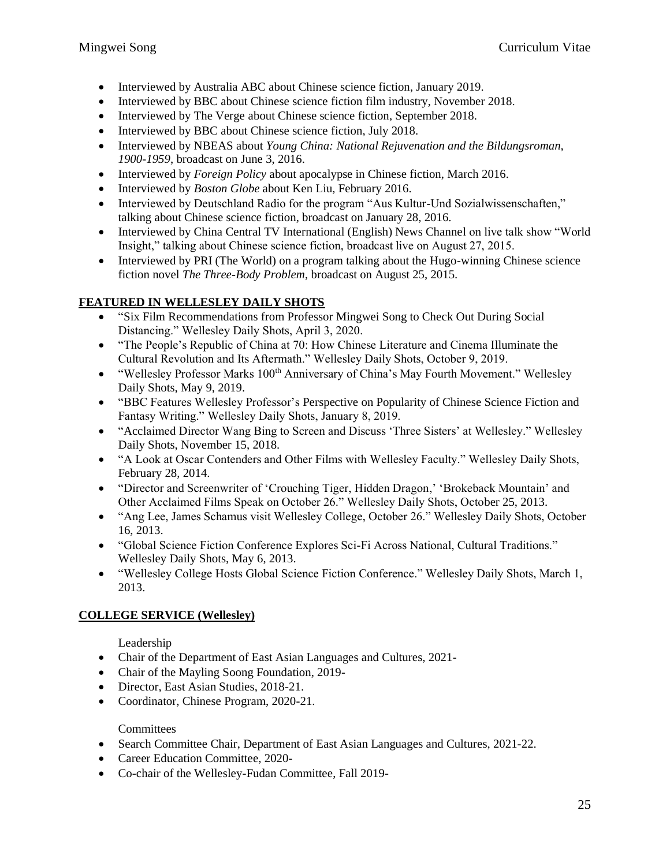- Interviewed by Australia ABC about Chinese science fiction, January 2019.
- Interviewed by BBC about Chinese science fiction film industry, November 2018.
- Interviewed by The Verge about Chinese science fiction, September 2018.
- Interviewed by BBC about Chinese science fiction, July 2018.
- Interviewed by NBEAS about *Young China: National Rejuvenation and the Bildungsroman, 1900-1959*, broadcast on June 3, 2016.
- Interviewed by *Foreign Policy* about apocalypse in Chinese fiction, March 2016.
- Interviewed by *Boston Globe* about Ken Liu, February 2016.
- Interviewed by Deutschland Radio for the program "Aus Kultur-Und Sozialwissenschaften," talking about Chinese science fiction, broadcast on January 28, 2016.
- Interviewed by China Central TV International (English) News Channel on live talk show "World Insight," talking about Chinese science fiction, broadcast live on August 27, 2015.
- Interviewed by PRI (The World) on a program talking about the Hugo-winning Chinese science fiction novel *The Three-Body Problem*, broadcast on August 25, 2015.

## **FEATURED IN WELLESLEY DAILY SHOTS**

- "Six Film Recommendations from Professor Mingwei Song to Check Out During Social Distancing." Wellesley Daily Shots, April 3, 2020.
- "The People's Republic of China at 70: How Chinese Literature and Cinema Illuminate the Cultural Revolution and Its Aftermath." Wellesley Daily Shots, October 9, 2019.
- "Wellesley Professor Marks 100<sup>th</sup> Anniversary of China's May Fourth Movement." Wellesley Daily Shots, May 9, 2019.
- "BBC Features Wellesley Professor's Perspective on Popularity of Chinese Science Fiction and Fantasy Writing." Wellesley Daily Shots, January 8, 2019.
- "Acclaimed Director Wang Bing to Screen and Discuss 'Three Sisters' at Wellesley." Wellesley Daily Shots, November 15, 2018.
- "A Look at Oscar Contenders and Other Films with Wellesley Faculty." Wellesley Daily Shots, February 28, 2014.
- "Director and Screenwriter of 'Crouching Tiger, Hidden Dragon,' 'Brokeback Mountain' and Other Acclaimed Films Speak on October 26." Wellesley Daily Shots, October 25, 2013.
- "Ang Lee, James Schamus visit Wellesley College, October 26." Wellesley Daily Shots, October 16, 2013.
- "Global Science Fiction Conference Explores Sci-Fi Across National, Cultural Traditions." Wellesley Daily Shots, May 6, 2013.
- "Wellesley College Hosts Global Science Fiction Conference." Wellesley Daily Shots, March 1, 2013.

### **COLLEGE SERVICE (Wellesley)**

Leadership

- Chair of the Department of East Asian Languages and Cultures, 2021-
- Chair of the Mayling Soong Foundation, 2019-
- Director, East Asian Studies, 2018-21.
- Coordinator, Chinese Program, 2020-21.

### **Committees**

- Search Committee Chair, Department of East Asian Languages and Cultures, 2021-22.
- Career Education Committee, 2020-
- Co-chair of the Wellesley-Fudan Committee, Fall 2019-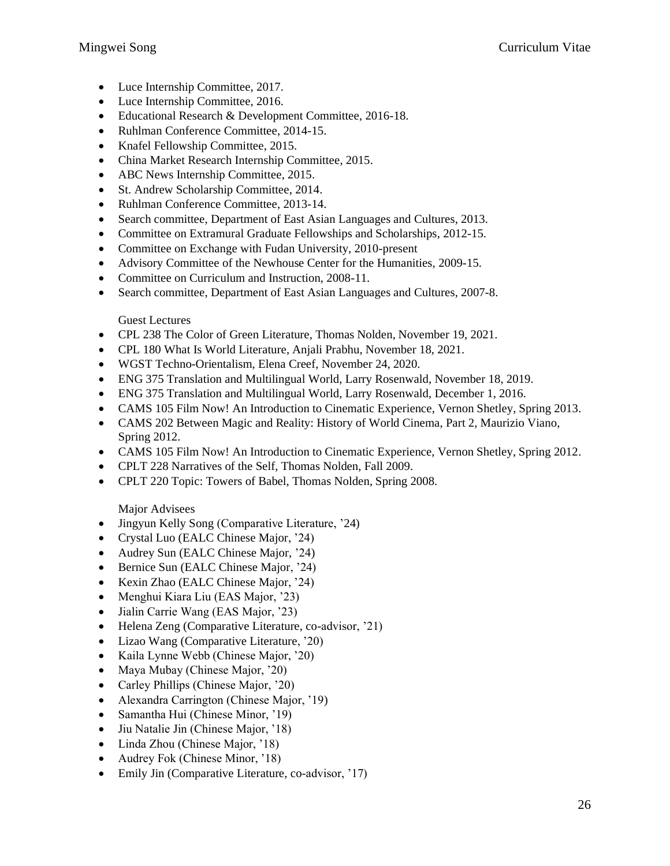- Luce Internship Committee, 2017.
- Luce Internship Committee, 2016.
- Educational Research & Development Committee, 2016-18.
- Ruhlman Conference Committee, 2014-15.
- Knafel Fellowship Committee, 2015.
- China Market Research Internship Committee, 2015.
- ABC News Internship Committee, 2015.
- St. Andrew Scholarship Committee, 2014.
- Ruhlman Conference Committee, 2013-14.
- Search committee, Department of East Asian Languages and Cultures, 2013.
- Committee on Extramural Graduate Fellowships and Scholarships, 2012-15.
- Committee on Exchange with Fudan University, 2010-present
- Advisory Committee of the Newhouse Center for the Humanities, 2009-15.
- Committee on Curriculum and Instruction, 2008-11.
- Search committee, Department of East Asian Languages and Cultures, 2007-8.

### Guest Lectures

- CPL 238 The Color of Green Literature, Thomas Nolden, November 19, 2021.
- CPL 180 What Is World Literature, Anjali Prabhu, November 18, 2021.
- WGST Techno-Orientalism, Elena Creef, November 24, 2020.
- ENG 375 Translation and Multilingual World, Larry Rosenwald, November 18, 2019.
- ENG 375 Translation and Multilingual World, Larry Rosenwald, December 1, 2016.
- CAMS 105 Film Now! An Introduction to Cinematic Experience, Vernon Shetley, Spring 2013.
- CAMS 202 Between Magic and Reality: History of World Cinema, Part 2, Maurizio Viano, Spring 2012.
- CAMS 105 Film Now! An Introduction to Cinematic Experience, Vernon Shetley, Spring 2012.
- CPLT 228 Narratives of the Self, Thomas Nolden, Fall 2009.
- CPLT 220 Topic: Towers of Babel, Thomas Nolden, Spring 2008.

### Major Advisees

- Jingyun Kelly Song (Comparative Literature, '24)
- Crystal Luo (EALC Chinese Major, '24)
- Audrey Sun (EALC Chinese Major, '24)
- Bernice Sun (EALC Chinese Major, '24)
- Kexin Zhao (EALC Chinese Major, '24)
- Menghui Kiara Liu (EAS Major, '23)
- Jialin Carrie Wang (EAS Major, '23)
- Helena Zeng (Comparative Literature, co-advisor, '21)
- Lizao Wang (Comparative Literature, '20)
- Kaila Lynne Webb (Chinese Major, '20)
- Maya Mubay (Chinese Major, '20)
- Carley Phillips (Chinese Major, '20)
- Alexandra Carrington (Chinese Major, '19)
- Samantha Hui (Chinese Minor, '19)
- Jiu Natalie Jin (Chinese Major, '18)
- Linda Zhou (Chinese Major, '18)
- Audrey Fok (Chinese Minor, '18)
- Emily Jin (Comparative Literature, co-advisor, '17)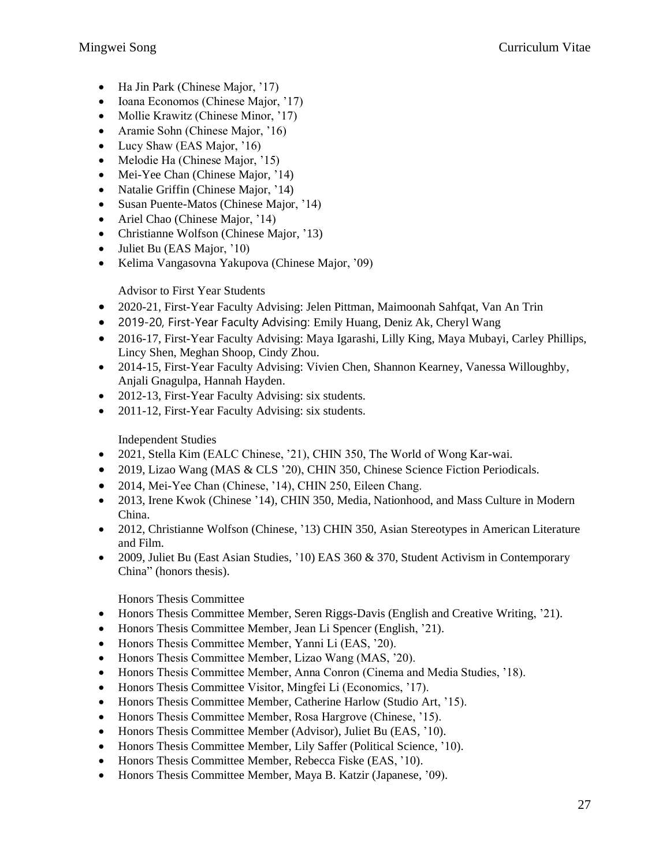- Ha Jin Park (Chinese Major, '17)
- Ioana Economos (Chinese Major, '17)
- Mollie Krawitz (Chinese Minor, '17)
- Aramie Sohn (Chinese Major, '16)
- Lucy Shaw (EAS Major, '16)
- Melodie Ha (Chinese Major, '15)
- Mei-Yee Chan (Chinese Major, '14)
- Natalie Griffin (Chinese Major, '14)
- Susan Puente-Matos (Chinese Major, '14)
- Ariel Chao (Chinese Major, '14)
- Christianne Wolfson (Chinese Major, '13)
- Juliet Bu (EAS Major, '10)
- Kelima Vangasovna Yakupova (Chinese Major, '09)

### Advisor to First Year Students

- 2020-21, First-Year Faculty Advising: Jelen Pittman, Maimoonah Sahfqat, Van An Trin
- 2019-20, First-Year Faculty Advising: Emily Huang, Deniz Ak, Cheryl Wang
- 2016-17, First-Year Faculty Advising: Maya Igarashi, Lilly King, Maya Mubayi, Carley Phillips, Lincy Shen, Meghan Shoop, Cindy Zhou.
- 2014-15, First-Year Faculty Advising: Vivien Chen, Shannon Kearney, Vanessa Willoughby, Anjali Gnagulpa, Hannah Hayden.
- 2012-13, First-Year Faculty Advising: six students.
- 2011-12, First-Year Faculty Advising: six students.

### Independent Studies

- 2021, Stella Kim (EALC Chinese, '21), CHIN 350, The World of Wong Kar-wai.
- 2019, Lizao Wang (MAS & CLS '20), CHIN 350, Chinese Science Fiction Periodicals.
- 2014, Mei-Yee Chan (Chinese, '14), CHIN 250, Eileen Chang.
- 2013, Irene Kwok (Chinese '14), CHIN 350, Media, Nationhood, and Mass Culture in Modern China.
- 2012, Christianne Wolfson (Chinese, '13) CHIN 350, Asian Stereotypes in American Literature and Film.
- 2009, Juliet Bu (East Asian Studies, '10) EAS 360 & 370, Student Activism in Contemporary China" (honors thesis).

### Honors Thesis Committee

- Honors Thesis Committee Member, Seren Riggs-Davis (English and Creative Writing, '21).
- Honors Thesis Committee Member, Jean Li Spencer (English, '21).
- Honors Thesis Committee Member, Yanni Li (EAS, '20).
- Honors Thesis Committee Member, Lizao Wang (MAS, '20).
- Honors Thesis Committee Member, Anna Conron (Cinema and Media Studies, '18).
- Honors Thesis Committee Visitor, Mingfei Li (Economics, '17).
- Honors Thesis Committee Member, Catherine Harlow (Studio Art, '15).
- Honors Thesis Committee Member, Rosa Hargrove (Chinese, '15).
- Honors Thesis Committee Member (Advisor), Juliet Bu (EAS, '10).
- Honors Thesis Committee Member, Lily Saffer (Political Science, '10).
- Honors Thesis Committee Member, Rebecca Fiske (EAS, '10).
- Honors Thesis Committee Member, Maya B. Katzir (Japanese, '09).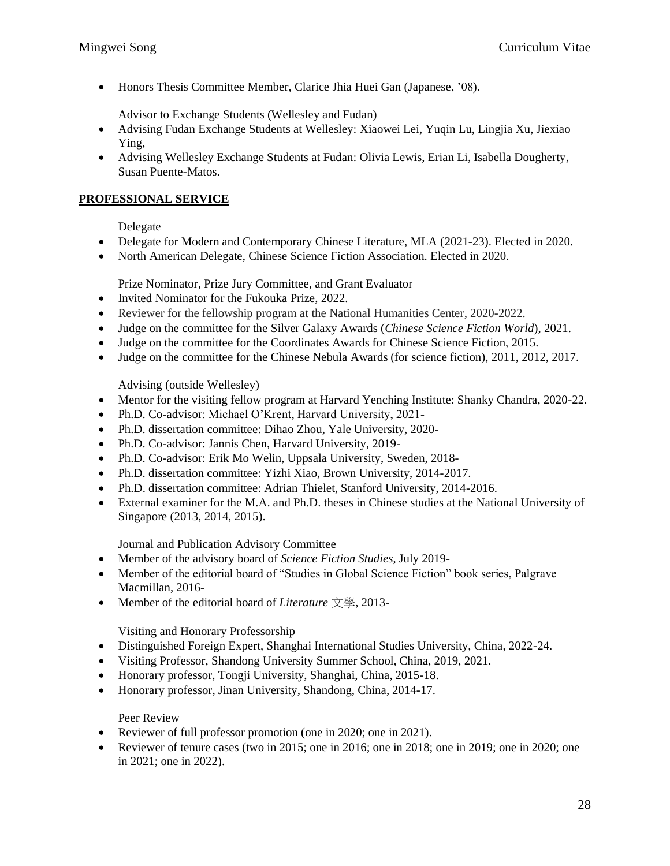• Honors Thesis Committee Member, Clarice Jhia Huei Gan (Japanese, '08).

Advisor to Exchange Students (Wellesley and Fudan)

- Advising Fudan Exchange Students at Wellesley: Xiaowei Lei, Yuqin Lu, Lingjia Xu, Jiexiao Ying,
- Advising Wellesley Exchange Students at Fudan: Olivia Lewis, Erian Li, Isabella Dougherty, Susan Puente-Matos.

## **PROFESSIONAL SERVICE**

Delegate

- Delegate for Modern and Contemporary Chinese Literature, MLA (2021-23). Elected in 2020.
- North American Delegate, Chinese Science Fiction Association. Elected in 2020.

Prize Nominator, Prize Jury Committee, and Grant Evaluator

- Invited Nominator for the Fukouka Prize, 2022.
- Reviewer for the fellowship program at the National Humanities Center, 2020-2022.
- Judge on the committee for the Silver Galaxy Awards (*Chinese Science Fiction World*), 2021.
- Judge on the committee for the Coordinates Awards for Chinese Science Fiction, 2015.
- Judge on the committee for the Chinese Nebula Awards (for science fiction), 2011, 2012, 2017.

Advising (outside Wellesley)

- Mentor for the visiting fellow program at Harvard Yenching Institute: Shanky Chandra, 2020-22.
- Ph.D. Co-advisor: Michael O'Krent, Harvard University, 2021-
- Ph.D. dissertation committee: Dihao Zhou, Yale University, 2020-
- Ph.D. Co-advisor: Jannis Chen, Harvard University, 2019-
- Ph.D. Co-advisor: Erik Mo Welin, Uppsala University, Sweden, 2018-
- Ph.D. dissertation committee: Yizhi Xiao, Brown University, 2014-2017.
- Ph.D. dissertation committee: Adrian Thielet, Stanford University, 2014-2016.
- External examiner for the M.A. and Ph.D. theses in Chinese studies at the National University of Singapore (2013, 2014, 2015).

Journal and Publication Advisory Committee

- Member of the advisory board of *Science Fiction Studies*, July 2019-
- Member of the editorial board of "Studies in Global Science Fiction" book series, Palgrave Macmillan, 2016-
- Member of the editorial board of *Literature* 文學, 2013-

Visiting and Honorary Professorship

- Distinguished Foreign Expert, Shanghai International Studies University, China, 2022-24.
- Visiting Professor, Shandong University Summer School, China, 2019, 2021.
- Honorary professor, Tongji University, Shanghai, China, 2015-18.
- Honorary professor, Jinan University, Shandong, China, 2014-17.

Peer Review

- Reviewer of full professor promotion (one in 2020; one in 2021).
- Reviewer of tenure cases (two in 2015; one in 2016; one in 2018; one in 2019; one in 2020; one in 2021; one in 2022).